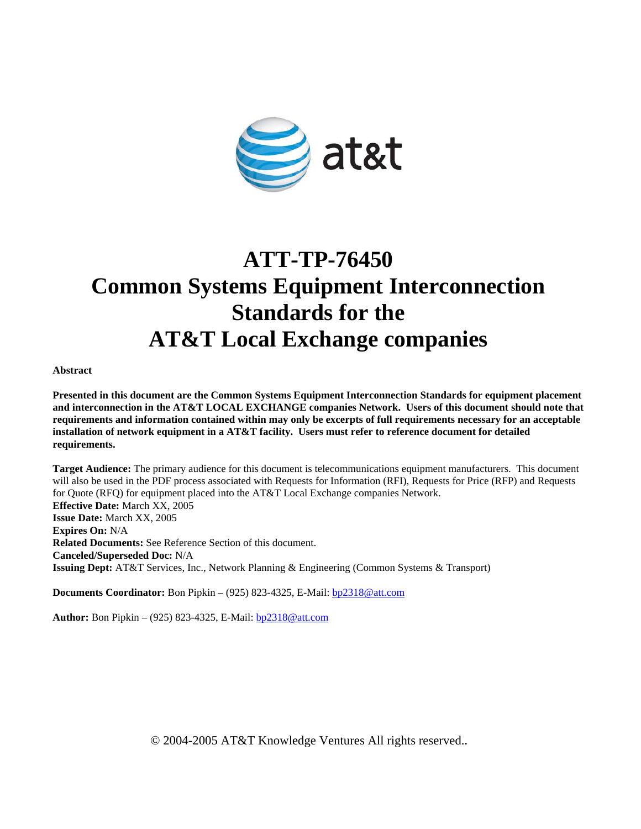

# **ATT-TP-76450 Common Systems Equipment Interconnection Standards for the AT&T Local Exchange companies**

**Abstract** 

**Presented in this document are the Common Systems Equipment Interconnection Standards for equipment placement and interconnection in the AT&T LOCAL EXCHANGE companies Network. Users of this document should note that requirements and information contained within may only be excerpts of full requirements necessary for an acceptable installation of network equipment in a AT&T facility. Users must refer to reference document for detailed requirements.** 

**Target Audience:** The primary audience for this document is telecommunications equipment manufacturers. This document will also be used in the PDF process associated with Requests for Information (RFI), Requests for Price (RFP) and Requests for Quote (RFQ) for equipment placed into the AT&T Local Exchange companies Network. **Effective Date:** March XX, 2005 **Issue Date:** March XX, 2005 **Expires On:** N/A **Related Documents:** See Reference Section of this document. **Canceled/Superseded Doc:** N/A **Issuing Dept:** AT&T Services, Inc., Network Planning & Engineering (Common Systems & Transport)

**Documents Coordinator:** Bon Pipkin – (925) 823-4325, E-Mail: bp2318@att.com

**Author:** Bon Pipkin – (925) 823-4325, E-Mail: bp2318@att.com

© 2004-2005 AT&T Knowledge Ventures All rights reserved.**.**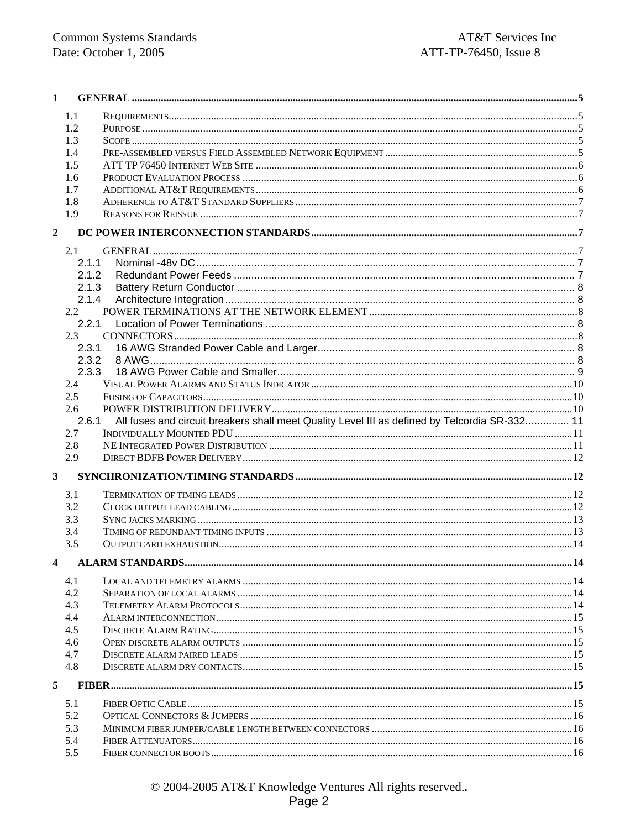| 1              |       |                                                                                               |  |
|----------------|-------|-----------------------------------------------------------------------------------------------|--|
|                | 1.1   |                                                                                               |  |
|                | 1.2   |                                                                                               |  |
|                | 1.3   |                                                                                               |  |
|                | 1.4   |                                                                                               |  |
|                | 1.5   |                                                                                               |  |
|                | 1.6   |                                                                                               |  |
|                | 1.7   |                                                                                               |  |
|                | 1.8   |                                                                                               |  |
|                | 1.9   |                                                                                               |  |
| $\overline{2}$ |       |                                                                                               |  |
|                | 2.1   |                                                                                               |  |
|                | 2.1.1 |                                                                                               |  |
|                | 2.1.2 |                                                                                               |  |
|                | 2.1.3 |                                                                                               |  |
|                | 2.1.4 |                                                                                               |  |
|                | 2.2   |                                                                                               |  |
|                | 2.2.1 |                                                                                               |  |
|                | 2.3   |                                                                                               |  |
|                | 2.3.1 |                                                                                               |  |
|                | 2.3.2 |                                                                                               |  |
|                | 2.3.3 |                                                                                               |  |
|                | 2.4   |                                                                                               |  |
|                | 2.5   |                                                                                               |  |
|                | 2.6   |                                                                                               |  |
|                | 2.6.1 | All fuses and circuit breakers shall meet Quality Level III as defined by Telcordia SR-332 11 |  |
|                | 2.7   |                                                                                               |  |
|                | 2.8   |                                                                                               |  |
|                | 2.9   |                                                                                               |  |
| 3              |       |                                                                                               |  |
|                |       |                                                                                               |  |
|                | 3.1   |                                                                                               |  |
|                | 3.2   |                                                                                               |  |
|                | 3.3   |                                                                                               |  |
|                | 3.4   |                                                                                               |  |
|                | 3.5   |                                                                                               |  |
| 4              |       |                                                                                               |  |
|                | 4.1   |                                                                                               |  |
|                | 4.2   |                                                                                               |  |
|                | 4.3   |                                                                                               |  |
|                | 4.4   |                                                                                               |  |
|                | 4.5   |                                                                                               |  |
|                | 4.6   |                                                                                               |  |
|                | 4.7   |                                                                                               |  |
|                | 4.8   |                                                                                               |  |
| 5              |       |                                                                                               |  |
|                | 5.1   |                                                                                               |  |
|                | 5.2   |                                                                                               |  |
|                | 5.3   |                                                                                               |  |
|                | 5.4   |                                                                                               |  |
|                | 5.5   |                                                                                               |  |
|                |       |                                                                                               |  |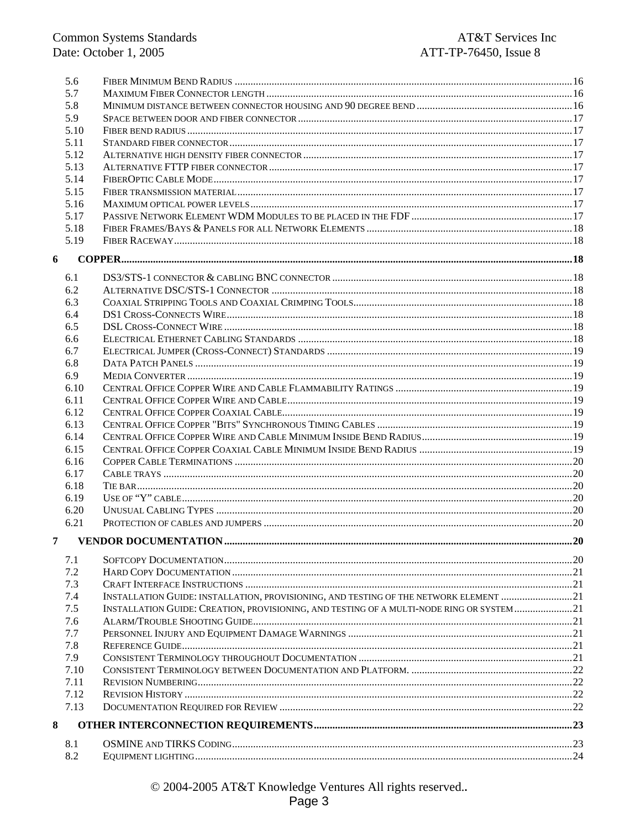|   | 5.6  |                                                                                           |     |
|---|------|-------------------------------------------------------------------------------------------|-----|
|   | 5.7  |                                                                                           |     |
|   | 5.8  |                                                                                           |     |
|   | 5.9  |                                                                                           |     |
|   | 5.10 |                                                                                           |     |
|   | 5.11 |                                                                                           |     |
|   | 5.12 |                                                                                           |     |
|   | 5.13 |                                                                                           |     |
|   | 5.14 |                                                                                           |     |
|   | 5.15 |                                                                                           |     |
|   | 5.16 |                                                                                           |     |
|   | 5.17 |                                                                                           |     |
|   | 5.18 |                                                                                           |     |
|   | 5.19 |                                                                                           |     |
| 6 |      |                                                                                           |     |
|   |      |                                                                                           |     |
|   | 6.1  |                                                                                           |     |
|   | 6.2  |                                                                                           |     |
|   | 6.3  |                                                                                           |     |
|   | 6.4  |                                                                                           |     |
|   | 6.5  |                                                                                           |     |
|   | 6.6  |                                                                                           |     |
|   | 6.7  |                                                                                           |     |
|   | 6.8  |                                                                                           |     |
|   | 6.9  |                                                                                           |     |
|   | 6.10 |                                                                                           |     |
|   | 6.11 |                                                                                           |     |
|   | 6.12 |                                                                                           |     |
|   | 6.13 |                                                                                           |     |
|   | 6.14 |                                                                                           |     |
|   | 6.15 |                                                                                           |     |
|   | 6.16 |                                                                                           |     |
|   | 6.17 |                                                                                           |     |
|   | 6.18 |                                                                                           |     |
|   | 6.19 |                                                                                           |     |
|   | 6.20 |                                                                                           |     |
|   | 6.21 |                                                                                           |     |
|   |      |                                                                                           | .20 |
|   | 7.1  |                                                                                           |     |
|   | 7.2  |                                                                                           |     |
|   | 7.3  |                                                                                           |     |
|   | 7.4  | INSTALLATION GUIDE: INSTALLATION, PROVISIONING, AND TESTING OF THE NETWORK ELEMENT 21     |     |
|   | 7.5  | INSTALLATION GUIDE: CREATION, PROVISIONING, AND TESTING OF A MULTI-NODE RING OR SYSTEM 21 |     |
|   | 7.6  |                                                                                           |     |
|   | 7.7  |                                                                                           |     |
|   | 7.8  |                                                                                           |     |
|   | 7.9  |                                                                                           |     |
|   | 7.10 |                                                                                           |     |
|   | 7.11 |                                                                                           |     |
|   | 7.12 |                                                                                           |     |
|   | 7.13 |                                                                                           |     |
| 8 |      |                                                                                           |     |
|   | 8.1  |                                                                                           |     |
|   | 8.2  |                                                                                           |     |
|   |      |                                                                                           |     |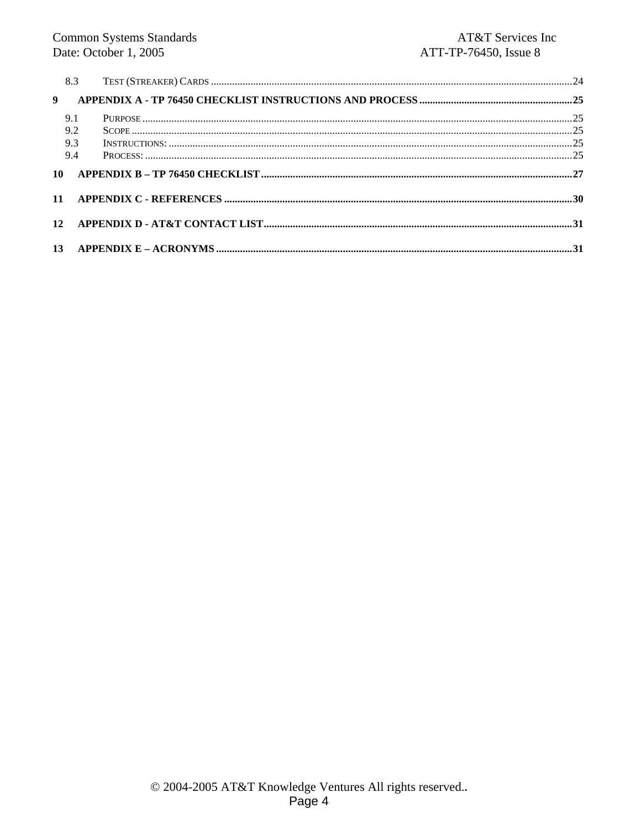| 8.3            |  |
|----------------|--|
| $\overline{9}$ |  |
| 9.1            |  |
| 9.2            |  |
| 9.3            |  |
| 9.4            |  |
| 10             |  |
|                |  |
|                |  |
|                |  |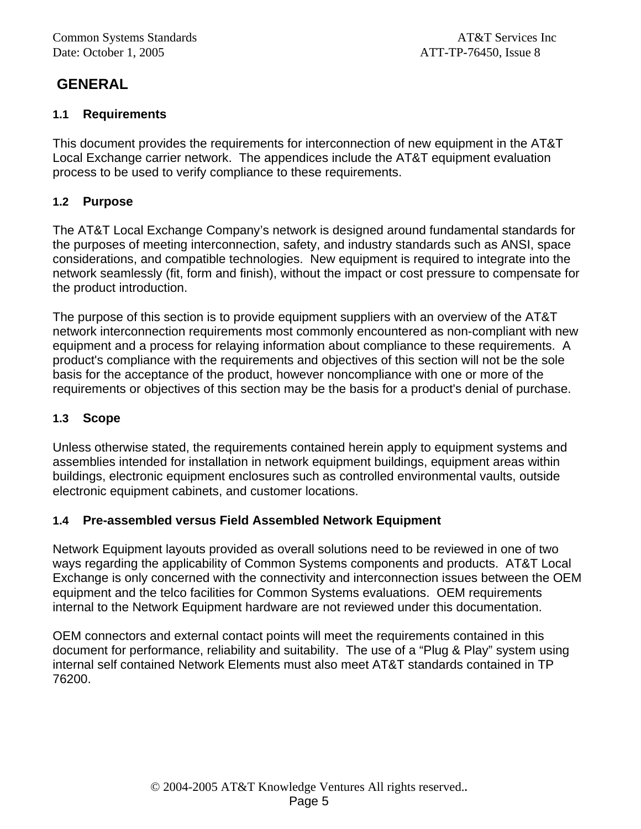# **GENERAL**

### **1.1 Requirements**

This document provides the requirements for interconnection of new equipment in the AT&T Local Exchange carrier network. The appendices include the AT&T equipment evaluation process to be used to verify compliance to these requirements.

### **1.2 Purpose**

The AT&T Local Exchange Company's network is designed around fundamental standards for the purposes of meeting interconnection, safety, and industry standards such as ANSI, space considerations, and compatible technologies. New equipment is required to integrate into the network seamlessly (fit, form and finish), without the impact or cost pressure to compensate for the product introduction.

The purpose of this section is to provide equipment suppliers with an overview of the AT&T network interconnection requirements most commonly encountered as non-compliant with new equipment and a process for relaying information about compliance to these requirements. A product's compliance with the requirements and objectives of this section will not be the sole basis for the acceptance of the product, however noncompliance with one or more of the requirements or objectives of this section may be the basis for a product's denial of purchase.

### **1.3 Scope**

Unless otherwise stated, the requirements contained herein apply to equipment systems and assemblies intended for installation in network equipment buildings, equipment areas within buildings, electronic equipment enclosures such as controlled environmental vaults, outside electronic equipment cabinets, and customer locations.

#### **1.4 Pre-assembled versus Field Assembled Network Equipment**

Network Equipment layouts provided as overall solutions need to be reviewed in one of two ways regarding the applicability of Common Systems components and products. AT&T Local Exchange is only concerned with the connectivity and interconnection issues between the OEM equipment and the telco facilities for Common Systems evaluations. OEM requirements internal to the Network Equipment hardware are not reviewed under this documentation.

OEM connectors and external contact points will meet the requirements contained in this document for performance, reliability and suitability. The use of a "Plug & Play" system using internal self contained Network Elements must also meet AT&T standards contained in TP 76200.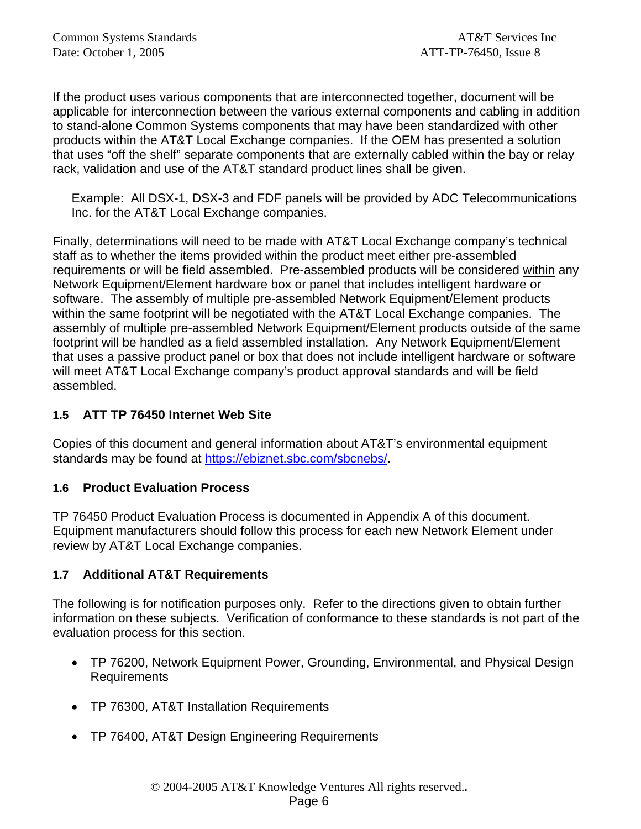If the product uses various components that are interconnected together, document will be applicable for interconnection between the various external components and cabling in addition to stand-alone Common Systems components that may have been standardized with other products within the AT&T Local Exchange companies. If the OEM has presented a solution that uses "off the shelf" separate components that are externally cabled within the bay or relay rack, validation and use of the AT&T standard product lines shall be given.

Example: All DSX-1, DSX-3 and FDF panels will be provided by ADC Telecommunications Inc. for the AT&T Local Exchange companies.

Finally, determinations will need to be made with AT&T Local Exchange company's technical staff as to whether the items provided within the product meet either pre-assembled requirements or will be field assembled. Pre-assembled products will be considered within any Network Equipment/Element hardware box or panel that includes intelligent hardware or software. The assembly of multiple pre-assembled Network Equipment/Element products within the same footprint will be negotiated with the AT&T Local Exchange companies. The assembly of multiple pre-assembled Network Equipment/Element products outside of the same footprint will be handled as a field assembled installation. Any Network Equipment/Element that uses a passive product panel or box that does not include intelligent hardware or software will meet AT&T Local Exchange company's product approval standards and will be field assembled.

### **1.5 ATT TP 76450 Internet Web Site**

Copies of this document and general information about AT&T's environmental equipment standards may be found at https://ebiznet.sbc.com/sbcnebs/.

#### **1.6 Product Evaluation Process**

TP 76450 Product Evaluation Process is documented in Appendix A of this document. Equipment manufacturers should follow this process for each new Network Element under review by AT&T Local Exchange companies.

#### **1.7 Additional AT&T Requirements**

The following is for notification purposes only. Refer to the directions given to obtain further information on these subjects. Verification of conformance to these standards is not part of the evaluation process for this section.

- TP 76200, Network Equipment Power, Grounding, Environmental, and Physical Design Requirements
- TP 76300, AT&T Installation Requirements
- TP 76400, AT&T Design Engineering Requirements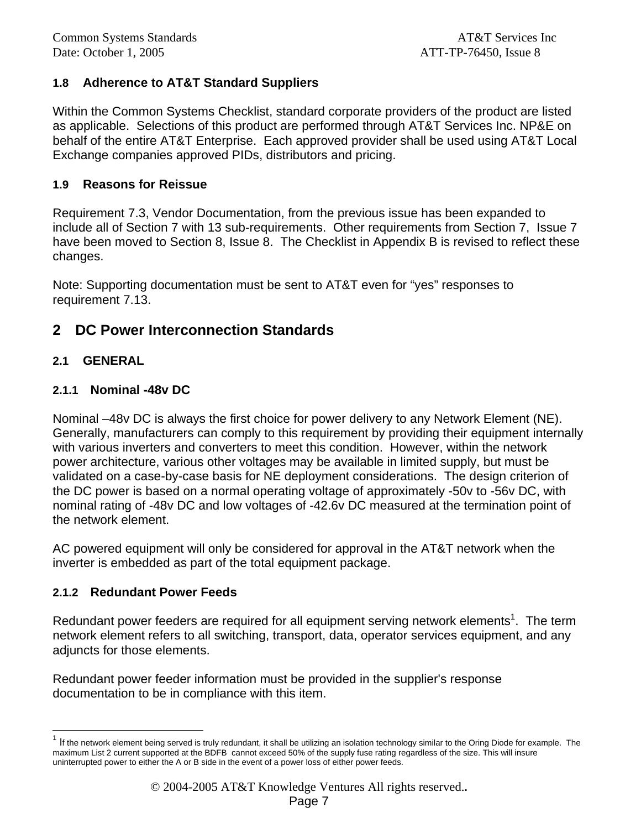### **1.8 Adherence to AT&T Standard Suppliers**

Within the Common Systems Checklist, standard corporate providers of the product are listed as applicable. Selections of this product are performed through AT&T Services Inc. NP&E on behalf of the entire AT&T Enterprise. Each approved provider shall be used using AT&T Local Exchange companies approved PIDs, distributors and pricing.

#### **1.9 Reasons for Reissue**

Requirement 7.3, Vendor Documentation, from the previous issue has been expanded to include all of Section 7 with 13 sub-requirements. Other requirements from Section 7, Issue 7 have been moved to Section 8, Issue 8. The Checklist in Appendix B is revised to reflect these changes.

Note: Supporting documentation must be sent to AT&T even for "yes" responses to requirement 7.13.

### **2 DC Power Interconnection Standards**

#### **2.1 GENERAL**

l

#### **2.1.1 Nominal -48v DC**

Nominal –48v DC is always the first choice for power delivery to any Network Element (NE). Generally, manufacturers can comply to this requirement by providing their equipment internally with various inverters and converters to meet this condition. However, within the network power architecture, various other voltages may be available in limited supply, but must be validated on a case-by-case basis for NE deployment considerations. The design criterion of the DC power is based on a normal operating voltage of approximately -50v to -56v DC, with nominal rating of -48v DC and low voltages of -42.6v DC measured at the termination point of the network element.

AC powered equipment will only be considered for approval in the AT&T network when the inverter is embedded as part of the total equipment package.

#### **2.1.2 Redundant Power Feeds**

Redundant power feeders are required for all equipment serving network elements<sup>1</sup>. The term network element refers to all switching, transport, data, operator services equipment, and any adjuncts for those elements.

Redundant power feeder information must be provided in the supplier's response documentation to be in compliance with this item.

 $1$  If the network element being served is truly redundant, it shall be utilizing an isolation technology similar to the Oring Diode for example. The maximum List 2 current supported at the BDFB cannot exceed 50% of the supply fuse rating regardless of the size. This will insure uninterrupted power to either the A or B side in the event of a power loss of either power feeds.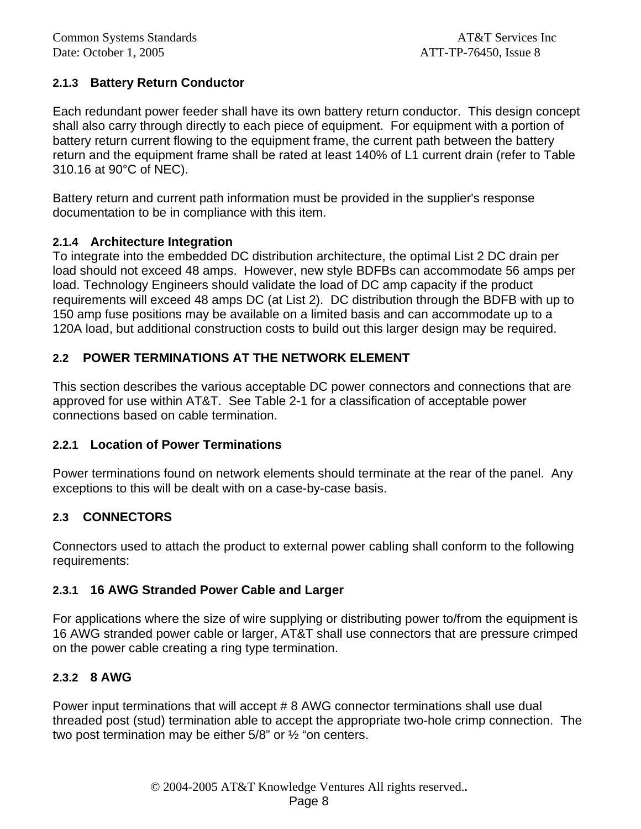### **2.1.3 Battery Return Conductor**

Each redundant power feeder shall have its own battery return conductor. This design concept shall also carry through directly to each piece of equipment. For equipment with a portion of battery return current flowing to the equipment frame, the current path between the battery return and the equipment frame shall be rated at least 140% of L1 current drain (refer to Table 310.16 at 90°C of NEC).

Battery return and current path information must be provided in the supplier's response documentation to be in compliance with this item.

#### **2.1.4 Architecture Integration**

To integrate into the embedded DC distribution architecture, the optimal List 2 DC drain per load should not exceed 48 amps. However, new style BDFBs can accommodate 56 amps per load. Technology Engineers should validate the load of DC amp capacity if the product requirements will exceed 48 amps DC (at List 2). DC distribution through the BDFB with up to 150 amp fuse positions may be available on a limited basis and can accommodate up to a 120A load, but additional construction costs to build out this larger design may be required.

#### **2.2 POWER TERMINATIONS AT THE NETWORK ELEMENT**

This section describes the various acceptable DC power connectors and connections that are approved for use within AT&T. See Table 2-1 for a classification of acceptable power connections based on cable termination.

#### **2.2.1 Location of Power Terminations**

Power terminations found on network elements should terminate at the rear of the panel. Any exceptions to this will be dealt with on a case-by-case basis.

#### **2.3 CONNECTORS**

Connectors used to attach the product to external power cabling shall conform to the following requirements:

#### **2.3.1 16 AWG Stranded Power Cable and Larger**

For applications where the size of wire supplying or distributing power to/from the equipment is 16 AWG stranded power cable or larger, AT&T shall use connectors that are pressure crimped on the power cable creating a ring type termination.

#### **2.3.2 8 AWG**

Power input terminations that will accept # 8 AWG connector terminations shall use dual threaded post (stud) termination able to accept the appropriate two-hole crimp connection. The two post termination may be either 5/8" or ½ "on centers.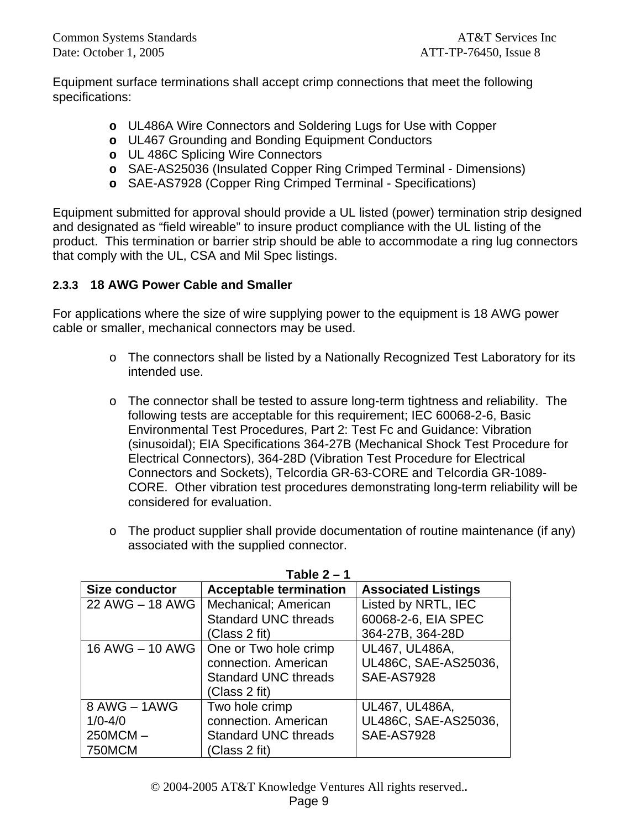Equipment surface terminations shall accept crimp connections that meet the following specifications:

- **o** UL486A Wire Connectors and Soldering Lugs for Use with Copper
- **o** UL467 Grounding and Bonding Equipment Conductors
- **o** UL 486C Splicing Wire Connectors
- **o** SAE-AS25036 (Insulated Copper Ring Crimped Terminal Dimensions)
- **o** SAE-AS7928 (Copper Ring Crimped Terminal Specifications)

Equipment submitted for approval should provide a UL listed (power) termination strip designed and designated as "field wireable" to insure product compliance with the UL listing of the product. This termination or barrier strip should be able to accommodate a ring lug connectors that comply with the UL, CSA and Mil Spec listings.

### **2.3.3 18 AWG Power Cable and Smaller**

For applications where the size of wire supplying power to the equipment is 18 AWG power cable or smaller, mechanical connectors may be used.

- o The connectors shall be listed by a Nationally Recognized Test Laboratory for its intended use.
- $\circ$  The connector shall be tested to assure long-term tightness and reliability. The following tests are acceptable for this requirement; IEC 60068-2-6, Basic Environmental Test Procedures, Part 2: Test Fc and Guidance: Vibration (sinusoidal); EIA Specifications 364-27B (Mechanical Shock Test Procedure for Electrical Connectors), 364-28D (Vibration Test Procedure for Electrical Connectors and Sockets), Telcordia GR-63-CORE and Telcordia GR-1089- CORE. Other vibration test procedures demonstrating long-term reliability will be considered for evaluation.
- o The product supplier shall provide documentation of routine maintenance (if any) associated with the supplied connector.

|                       | $1$ avit $2 - 1$                        |                            |
|-----------------------|-----------------------------------------|----------------------------|
| <b>Size conductor</b> | <b>Acceptable termination</b>           | <b>Associated Listings</b> |
| 22 AWG - 18 AWG       | Mechanical; American                    | Listed by NRTL, IEC        |
|                       | <b>Standard UNC threads</b>             | 60068-2-6, EIA SPEC        |
|                       | (Class 2 fit)                           | 364-27B, 364-28D           |
|                       | 16 AWG – 10 AWG   One or Two hole crimp | UL467, UL486A,             |
|                       | connection. American                    | UL486C, SAE-AS25036,       |
|                       | <b>Standard UNC threads</b>             | <b>SAE-AS7928</b>          |
|                       | (Class 2 fit)                           |                            |
| 8 AWG - 1AWG          | Two hole crimp                          | UL467, UL486A,             |
| $1/0 - 4/0$           | connection. American                    | UL486C, SAE-AS25036,       |
| $250MCM -$            | <b>Standard UNC threads</b>             | <b>SAE-AS7928</b>          |
| 750MCM                | (Class 2 fit)                           |                            |

**Table 2 – 1**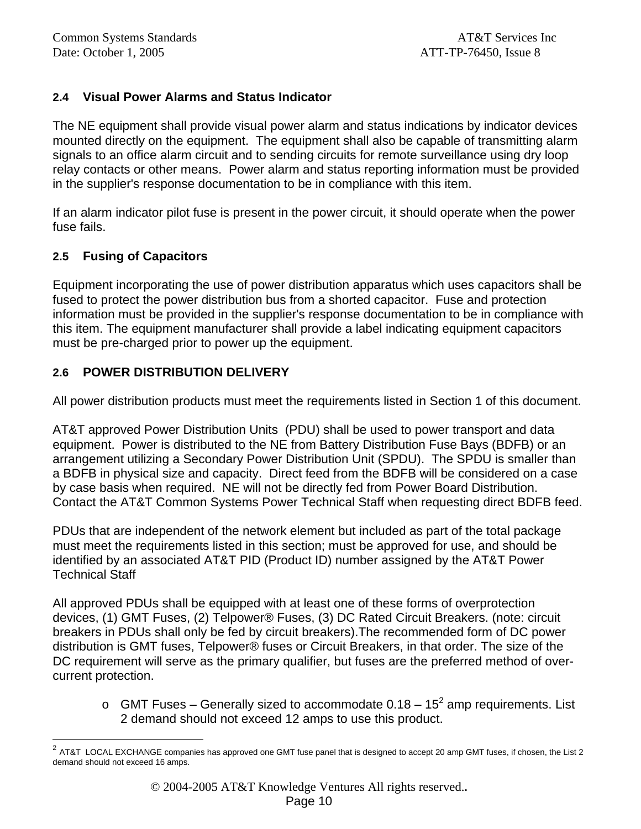### **2.4 Visual Power Alarms and Status Indicator**

The NE equipment shall provide visual power alarm and status indications by indicator devices mounted directly on the equipment. The equipment shall also be capable of transmitting alarm signals to an office alarm circuit and to sending circuits for remote surveillance using dry loop relay contacts or other means. Power alarm and status reporting information must be provided in the supplier's response documentation to be in compliance with this item.

If an alarm indicator pilot fuse is present in the power circuit, it should operate when the power fuse fails.

#### **2.5 Fusing of Capacitors**

l

Equipment incorporating the use of power distribution apparatus which uses capacitors shall be fused to protect the power distribution bus from a shorted capacitor. Fuse and protection information must be provided in the supplier's response documentation to be in compliance with this item. The equipment manufacturer shall provide a label indicating equipment capacitors must be pre-charged prior to power up the equipment.

### **2.6 POWER DISTRIBUTION DELIVERY**

All power distribution products must meet the requirements listed in Section 1 of this document.

AT&T approved Power Distribution Units (PDU) shall be used to power transport and data equipment. Power is distributed to the NE from Battery Distribution Fuse Bays (BDFB) or an arrangement utilizing a Secondary Power Distribution Unit (SPDU). The SPDU is smaller than a BDFB in physical size and capacity. Direct feed from the BDFB will be considered on a case by case basis when required. NE will not be directly fed from Power Board Distribution. Contact the AT&T Common Systems Power Technical Staff when requesting direct BDFB feed.

PDUs that are independent of the network element but included as part of the total package must meet the requirements listed in this section; must be approved for use, and should be identified by an associated AT&T PID (Product ID) number assigned by the AT&T Power Technical Staff

All approved PDUs shall be equipped with at least one of these forms of overprotection devices, (1) GMT Fuses, (2) Telpower® Fuses, (3) DC Rated Circuit Breakers. (note: circuit breakers in PDUs shall only be fed by circuit breakers).The recommended form of DC power distribution is GMT fuses, Telpower® fuses or Circuit Breakers, in that order. The size of the DC requirement will serve as the primary qualifier, but fuses are the preferred method of overcurrent protection.

 $\circ$  GMT Fuses – Generally sized to accommodate 0.18 – 15<sup>2</sup> amp requirements. List 2 demand should not exceed 12 amps to use this product.

<sup>2</sup> AT&T LOCAL EXCHANGE companies has approved one GMT fuse panel that is designed to accept 20 amp GMT fuses, if chosen, the List 2 demand should not exceed 16 amps.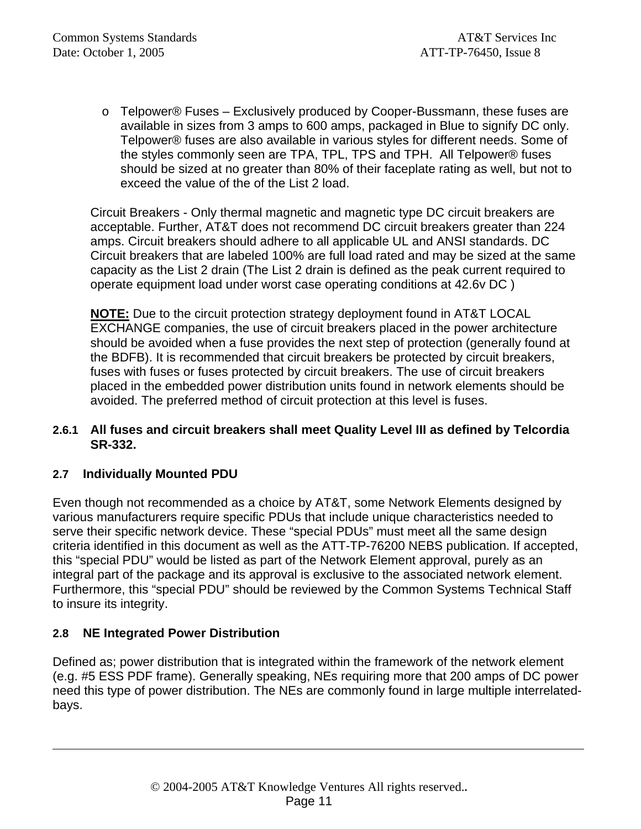o Telpower® Fuses – Exclusively produced by Cooper-Bussmann, these fuses are available in sizes from 3 amps to 600 amps, packaged in Blue to signify DC only. Telpower® fuses are also available in various styles for different needs. Some of the styles commonly seen are TPA, TPL, TPS and TPH. All Telpower® fuses should be sized at no greater than 80% of their faceplate rating as well, but not to exceed the value of the of the List 2 load.

Circuit Breakers - Only thermal magnetic and magnetic type DC circuit breakers are acceptable. Further, AT&T does not recommend DC circuit breakers greater than 224 amps. Circuit breakers should adhere to all applicable UL and ANSI standards. DC Circuit breakers that are labeled 100% are full load rated and may be sized at the same capacity as the List 2 drain (The List 2 drain is defined as the peak current required to operate equipment load under worst case operating conditions at 42.6v DC )

**NOTE:** Due to the circuit protection strategy deployment found in AT&T LOCAL EXCHANGE companies, the use of circuit breakers placed in the power architecture should be avoided when a fuse provides the next step of protection (generally found at the BDFB). It is recommended that circuit breakers be protected by circuit breakers, fuses with fuses or fuses protected by circuit breakers. The use of circuit breakers placed in the embedded power distribution units found in network elements should be avoided. The preferred method of circuit protection at this level is fuses.

#### **2.6.1 All fuses and circuit breakers shall meet Quality Level III as defined by Telcordia SR-332.**

### **2.7 Individually Mounted PDU**

Even though not recommended as a choice by AT&T, some Network Elements designed by various manufacturers require specific PDUs that include unique characteristics needed to serve their specific network device. These "special PDUs" must meet all the same design criteria identified in this document as well as the ATT-TP-76200 NEBS publication. If accepted, this "special PDU" would be listed as part of the Network Element approval, purely as an integral part of the package and its approval is exclusive to the associated network element. Furthermore, this "special PDU" should be reviewed by the Common Systems Technical Staff to insure its integrity.

### **2.8 NE Integrated Power Distribution**

l

Defined as; power distribution that is integrated within the framework of the network element (e.g. #5 ESS PDF frame). Generally speaking, NEs requiring more that 200 amps of DC power need this type of power distribution. The NEs are commonly found in large multiple interrelatedbays.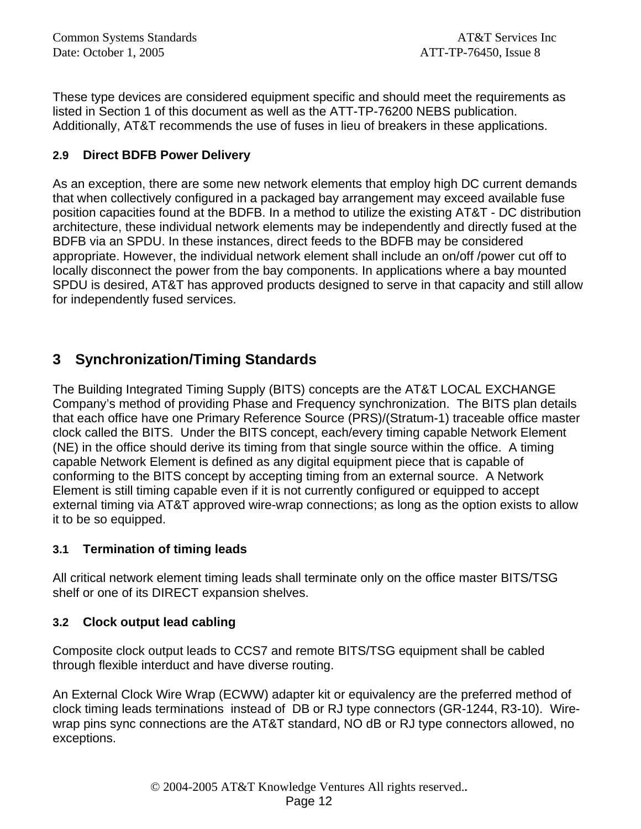These type devices are considered equipment specific and should meet the requirements as listed in Section 1 of this document as well as the ATT-TP-76200 NEBS publication. Additionally, AT&T recommends the use of fuses in lieu of breakers in these applications.

### **2.9 Direct BDFB Power Delivery**

As an exception, there are some new network elements that employ high DC current demands that when collectively configured in a packaged bay arrangement may exceed available fuse position capacities found at the BDFB. In a method to utilize the existing AT&T - DC distribution architecture, these individual network elements may be independently and directly fused at the BDFB via an SPDU. In these instances, direct feeds to the BDFB may be considered appropriate. However, the individual network element shall include an on/off /power cut off to locally disconnect the power from the bay components. In applications where a bay mounted SPDU is desired, AT&T has approved products designed to serve in that capacity and still allow for independently fused services.

# **3 Synchronization/Timing Standards**

The Building Integrated Timing Supply (BITS) concepts are the AT&T LOCAL EXCHANGE Company's method of providing Phase and Frequency synchronization. The BITS plan details that each office have one Primary Reference Source (PRS)/(Stratum-1) traceable office master clock called the BITS. Under the BITS concept, each/every timing capable Network Element (NE) in the office should derive its timing from that single source within the office. A timing capable Network Element is defined as any digital equipment piece that is capable of conforming to the BITS concept by accepting timing from an external source. A Network Element is still timing capable even if it is not currently configured or equipped to accept external timing via AT&T approved wire-wrap connections; as long as the option exists to allow it to be so equipped.

### **3.1 Termination of timing leads**

All critical network element timing leads shall terminate only on the office master BITS/TSG shelf or one of its DIRECT expansion shelves.

### **3.2 Clock output lead cabling**

Composite clock output leads to CCS7 and remote BITS/TSG equipment shall be cabled through flexible interduct and have diverse routing.

An External Clock Wire Wrap (ECWW) adapter kit or equivalency are the preferred method of clock timing leads terminations instead of DB or RJ type connectors (GR-1244, R3-10). Wirewrap pins sync connections are the AT&T standard, NO dB or RJ type connectors allowed, no exceptions.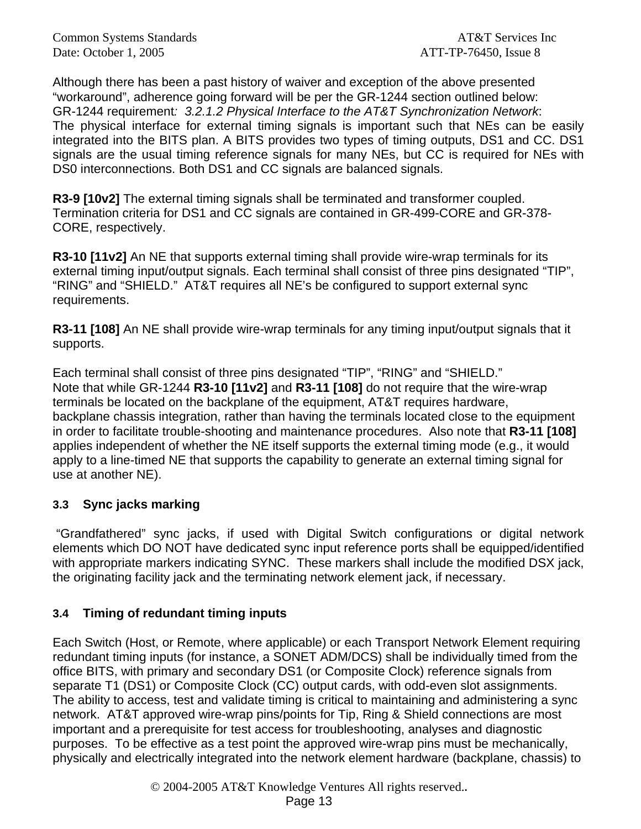Although there has been a past history of waiver and exception of the above presented "workaround", adherence going forward will be per the GR-1244 section outlined below: GR-1244 requirement*: 3.2.1.2 Physical Interface to the AT&T Synchronization Network*: The physical interface for external timing signals is important such that NEs can be easily integrated into the BITS plan. A BITS provides two types of timing outputs, DS1 and CC. DS1 signals are the usual timing reference signals for many NEs, but CC is required for NEs with DS0 interconnections. Both DS1 and CC signals are balanced signals.

**R3-9 [10v2]** The external timing signals shall be terminated and transformer coupled. Termination criteria for DS1 and CC signals are contained in GR-499-CORE and GR-378- CORE, respectively.

**R3-10 [11v2]** An NE that supports external timing shall provide wire-wrap terminals for its external timing input/output signals. Each terminal shall consist of three pins designated "TIP", "RING" and "SHIELD." AT&T requires all NE's be configured to support external sync requirements.

**R3-11 [108]** An NE shall provide wire-wrap terminals for any timing input/output signals that it supports.

Each terminal shall consist of three pins designated "TIP", "RING" and "SHIELD." Note that while GR-1244 **R3-10 [11v2]** and **R3-11 [108]** do not require that the wire-wrap terminals be located on the backplane of the equipment, AT&T requires hardware, backplane chassis integration, rather than having the terminals located close to the equipment in order to facilitate trouble-shooting and maintenance procedures. Also note that **R3-11 [108]**  applies independent of whether the NE itself supports the external timing mode (e.g., it would apply to a line-timed NE that supports the capability to generate an external timing signal for use at another NE).

### **3.3 Sync jacks marking**

 "Grandfathered" sync jacks, if used with Digital Switch configurations or digital network elements which DO NOT have dedicated sync input reference ports shall be equipped/identified with appropriate markers indicating SYNC. These markers shall include the modified DSX jack, the originating facility jack and the terminating network element jack, if necessary.

### **3.4 Timing of redundant timing inputs**

Each Switch (Host, or Remote, where applicable) or each Transport Network Element requiring redundant timing inputs (for instance, a SONET ADM/DCS) shall be individually timed from the office BITS, with primary and secondary DS1 (or Composite Clock) reference signals from separate T1 (DS1) or Composite Clock (CC) output cards, with odd-even slot assignments. The ability to access, test and validate timing is critical to maintaining and administering a sync network. AT&T approved wire-wrap pins/points for Tip, Ring & Shield connections are most important and a prerequisite for test access for troubleshooting, analyses and diagnostic purposes. To be effective as a test point the approved wire-wrap pins must be mechanically, physically and electrically integrated into the network element hardware (backplane, chassis) to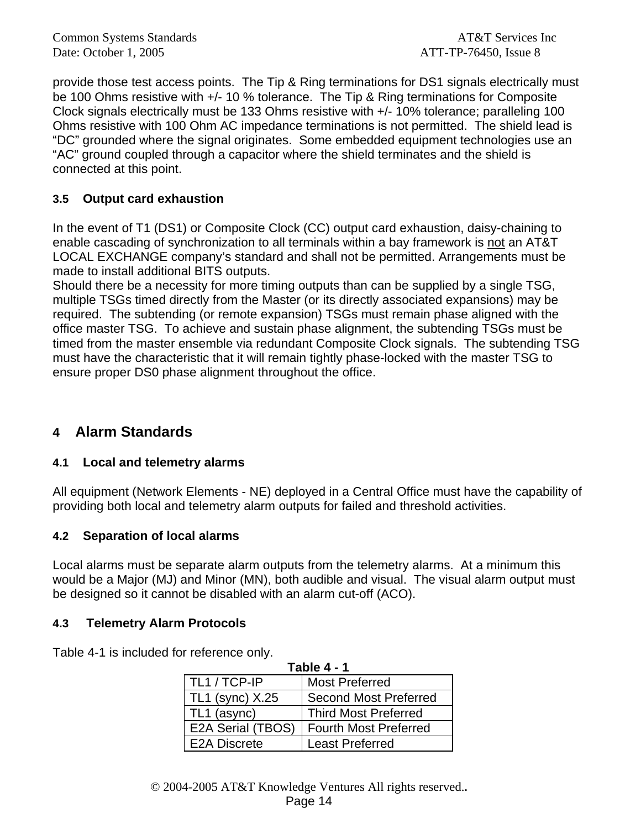provide those test access points. The Tip & Ring terminations for DS1 signals electrically must be 100 Ohms resistive with +/- 10 % tolerance. The Tip & Ring terminations for Composite Clock signals electrically must be 133 Ohms resistive with +/- 10% tolerance; paralleling 100 Ohms resistive with 100 Ohm AC impedance terminations is not permitted. The shield lead is "DC" grounded where the signal originates. Some embedded equipment technologies use an "AC" ground coupled through a capacitor where the shield terminates and the shield is connected at this point.

### **3.5 Output card exhaustion**

In the event of T1 (DS1) or Composite Clock (CC) output card exhaustion, daisy-chaining to enable cascading of synchronization to all terminals within a bay framework is not an AT&T LOCAL EXCHANGE company's standard and shall not be permitted. Arrangements must be made to install additional BITS outputs.

Should there be a necessity for more timing outputs than can be supplied by a single TSG, multiple TSGs timed directly from the Master (or its directly associated expansions) may be required. The subtending (or remote expansion) TSGs must remain phase aligned with the office master TSG. To achieve and sustain phase alignment, the subtending TSGs must be timed from the master ensemble via redundant Composite Clock signals. The subtending TSG must have the characteristic that it will remain tightly phase-locked with the master TSG to ensure proper DS0 phase alignment throughout the office.

### **4 Alarm Standards**

#### **4.1 Local and telemetry alarms**

All equipment (Network Elements - NE) deployed in a Central Office must have the capability of providing both local and telemetry alarm outputs for failed and threshold activities.

#### **4.2 Separation of local alarms**

Local alarms must be separate alarm outputs from the telemetry alarms. At a minimum this would be a Major (MJ) and Minor (MN), both audible and visual. The visual alarm output must be designed so it cannot be disabled with an alarm cut-off (ACO).

#### **4.3 Telemetry Alarm Protocols**

Table 4-1 is included for reference only.

| Table 4 - 1            |                              |  |  |  |
|------------------------|------------------------------|--|--|--|
| TL1 / TCP-IP           | <b>Most Preferred</b>        |  |  |  |
| <b>TL1 (sync) X.25</b> | <b>Second Most Preferred</b> |  |  |  |
| TL1 (async)            | <b>Third Most Preferred</b>  |  |  |  |
| E2A Serial (TBOS)      | <b>Fourth Most Preferred</b> |  |  |  |
| <b>E2A Discrete</b>    | <b>Least Preferred</b>       |  |  |  |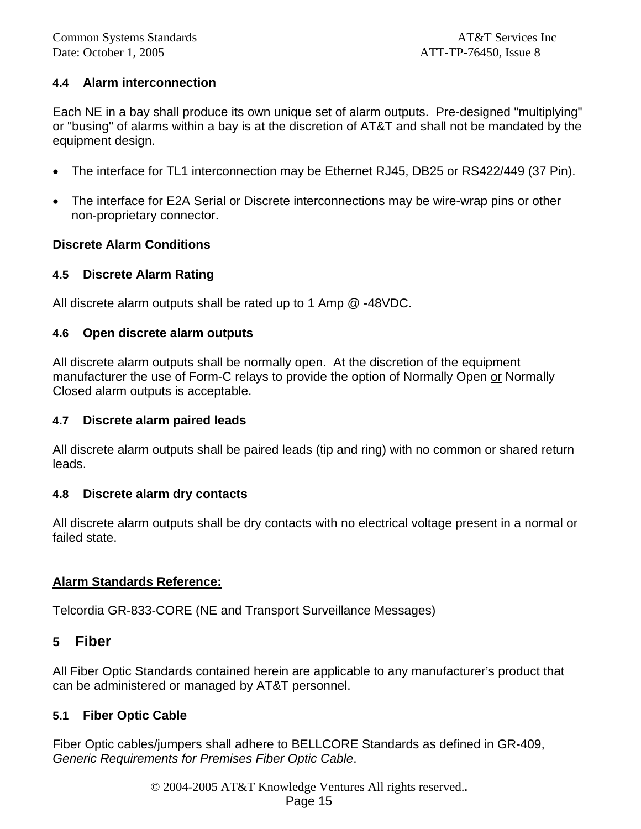#### **4.4 Alarm interconnection**

Each NE in a bay shall produce its own unique set of alarm outputs. Pre-designed "multiplying" or "busing" of alarms within a bay is at the discretion of AT&T and shall not be mandated by the equipment design.

- The interface for TL1 interconnection may be Ethernet RJ45, DB25 or RS422/449 (37 Pin).
- The interface for E2A Serial or Discrete interconnections may be wire-wrap pins or other non-proprietary connector.

#### **Discrete Alarm Conditions**

#### **4.5 Discrete Alarm Rating**

All discrete alarm outputs shall be rated up to 1 Amp @ -48VDC.

#### **4.6 Open discrete alarm outputs**

All discrete alarm outputs shall be normally open. At the discretion of the equipment manufacturer the use of Form-C relays to provide the option of Normally Open or Normally Closed alarm outputs is acceptable.

#### **4.7 Discrete alarm paired leads**

All discrete alarm outputs shall be paired leads (tip and ring) with no common or shared return leads.

#### **4.8 Discrete alarm dry contacts**

All discrete alarm outputs shall be dry contacts with no electrical voltage present in a normal or failed state.

#### **Alarm Standards Reference:**

Telcordia GR-833-CORE (NE and Transport Surveillance Messages)

#### **5 Fiber**

All Fiber Optic Standards contained herein are applicable to any manufacturer's product that can be administered or managed by AT&T personnel.

#### **5.1 Fiber Optic Cable**

Fiber Optic cables/jumpers shall adhere to BELLCORE Standards as defined in GR-409, *Generic Requirements for Premises Fiber Optic Cable*.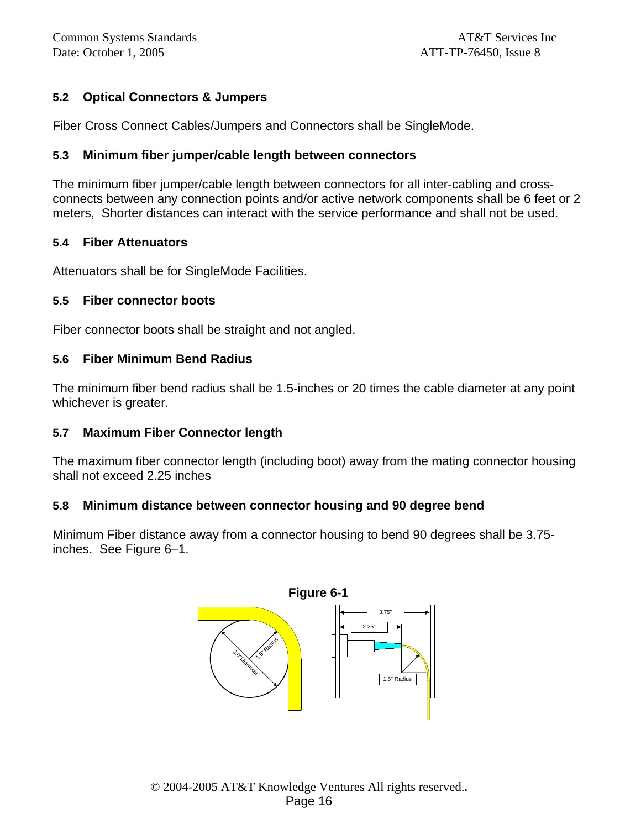### **5.2 Optical Connectors & Jumpers**

Fiber Cross Connect Cables/Jumpers and Connectors shall be SingleMode.

#### **5.3 Minimum fiber jumper/cable length between connectors**

The minimum fiber jumper/cable length between connectors for all inter-cabling and crossconnects between any connection points and/or active network components shall be 6 feet or 2 meters, Shorter distances can interact with the service performance and shall not be used.

#### **5.4 Fiber Attenuators**

Attenuators shall be for SingleMode Facilities.

#### **5.5 Fiber connector boots**

Fiber connector boots shall be straight and not angled.

#### **5.6 Fiber Minimum Bend Radius**

The minimum fiber bend radius shall be 1.5-inches or 20 times the cable diameter at any point whichever is greater.

#### **5.7 Maximum Fiber Connector length**

The maximum fiber connector length (including boot) away from the mating connector housing shall not exceed 2.25 inches

#### **5.8 Minimum distance between connector housing and 90 degree bend**

Minimum Fiber distance away from a connector housing to bend 90 degrees shall be 3.75 inches. See Figure 6–1.

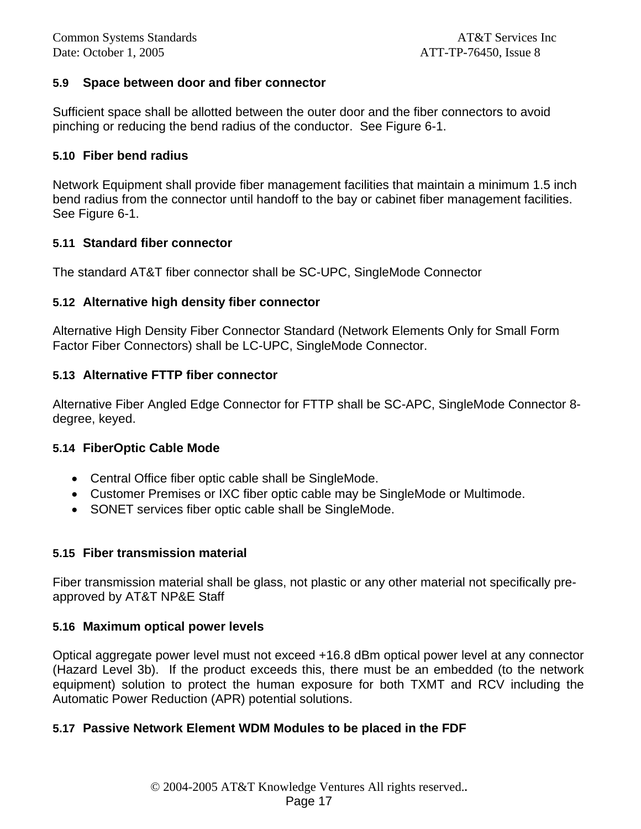#### **5.9 Space between door and fiber connector**

Sufficient space shall be allotted between the outer door and the fiber connectors to avoid pinching or reducing the bend radius of the conductor. See Figure 6-1.

#### **5.10 Fiber bend radius**

Network Equipment shall provide fiber management facilities that maintain a minimum 1.5 inch bend radius from the connector until handoff to the bay or cabinet fiber management facilities. See Figure 6-1.

#### **5.11 Standard fiber connector**

The standard AT&T fiber connector shall be SC-UPC, SingleMode Connector

#### **5.12 Alternative high density fiber connector**

Alternative High Density Fiber Connector Standard (Network Elements Only for Small Form Factor Fiber Connectors) shall be LC-UPC, SingleMode Connector.

#### **5.13 Alternative FTTP fiber connector**

Alternative Fiber Angled Edge Connector for FTTP shall be SC-APC, SingleMode Connector 8 degree, keyed.

#### **5.14 FiberOptic Cable Mode**

- Central Office fiber optic cable shall be SingleMode.
- Customer Premises or IXC fiber optic cable may be SingleMode or Multimode.
- SONET services fiber optic cable shall be SingleMode.

#### **5.15 Fiber transmission material**

Fiber transmission material shall be glass, not plastic or any other material not specifically preapproved by AT&T NP&E Staff

#### **5.16 Maximum optical power levels**

Optical aggregate power level must not exceed +16.8 dBm optical power level at any connector (Hazard Level 3b). If the product exceeds this, there must be an embedded (to the network equipment) solution to protect the human exposure for both TXMT and RCV including the Automatic Power Reduction (APR) potential solutions.

#### **5.17 Passive Network Element WDM Modules to be placed in the FDF**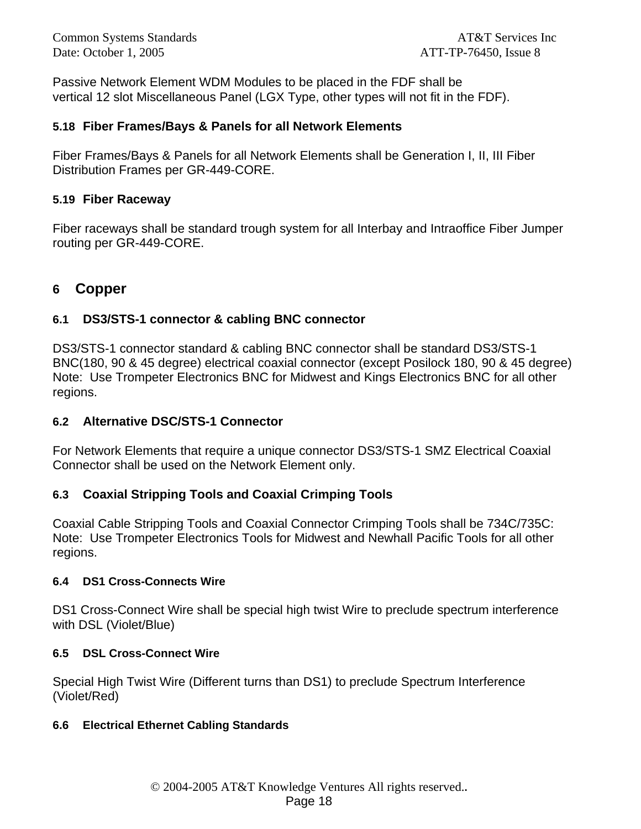Common Systems Standards **AT&T** Services Inc Date: October 1, 2005 **ATT-TP-76450**, Issue 8

Passive Network Element WDM Modules to be placed in the FDF shall be vertical 12 slot Miscellaneous Panel (LGX Type, other types will not fit in the FDF).

#### **5.18 Fiber Frames/Bays & Panels for all Network Elements**

Fiber Frames/Bays & Panels for all Network Elements shall be Generation I, II, III Fiber Distribution Frames per GR-449-CORE.

#### **5.19 Fiber Raceway**

Fiber raceways shall be standard trough system for all Interbay and Intraoffice Fiber Jumper routing per GR-449-CORE.

### **6 Copper**

### **6.1 DS3/STS-1 connector & cabling BNC connector**

DS3/STS-1 connector standard & cabling BNC connector shall be standard DS3/STS-1 BNC(180, 90 & 45 degree) electrical coaxial connector (except Posilock 180, 90 & 45 degree) Note: Use Trompeter Electronics BNC for Midwest and Kings Electronics BNC for all other regions.

#### **6.2 Alternative DSC/STS-1 Connector**

For Network Elements that require a unique connector DS3/STS-1 SMZ Electrical Coaxial Connector shall be used on the Network Element only.

#### **6.3 Coaxial Stripping Tools and Coaxial Crimping Tools**

Coaxial Cable Stripping Tools and Coaxial Connector Crimping Tools shall be 734C/735C: Note: Use Trompeter Electronics Tools for Midwest and Newhall Pacific Tools for all other regions.

#### **6.4 DS1 Cross-Connects Wire**

DS1 Cross-Connect Wire shall be special high twist Wire to preclude spectrum interference with DSL (Violet/Blue)

#### **6.5 DSL Cross-Connect Wire**

Special High Twist Wire (Different turns than DS1) to preclude Spectrum Interference (Violet/Red)

#### **6.6 Electrical Ethernet Cabling Standards**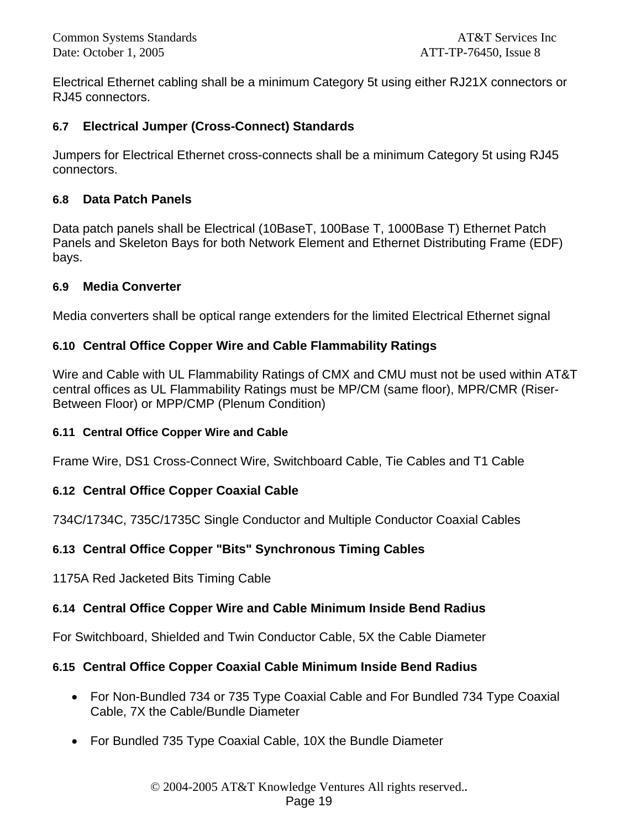Electrical Ethernet cabling shall be a minimum Category 5t using either RJ21X connectors or RJ45 connectors.

### **6.7 Electrical Jumper (Cross-Connect) Standards**

Jumpers for Electrical Ethernet cross-connects shall be a minimum Category 5t using RJ45 connectors.

### **6.8 Data Patch Panels**

Data patch panels shall be Electrical (10BaseT, 100Base T, 1000Base T) Ethernet Patch Panels and Skeleton Bays for both Network Element and Ethernet Distributing Frame (EDF) bays.

#### **6.9 Media Converter**

Media converters shall be optical range extenders for the limited Electrical Ethernet signal

### **6.10 Central Office Copper Wire and Cable Flammability Ratings**

Wire and Cable with UL Flammability Ratings of CMX and CMU must not be used within AT&T central offices as UL Flammability Ratings must be MP/CM (same floor), MPR/CMR (Riser-Between Floor) or MPP/CMP (Plenum Condition)

#### **6.11 Central Office Copper Wire and Cable**

Frame Wire, DS1 Cross-Connect Wire, Switchboard Cable, Tie Cables and T1 Cable

### **6.12 Central Office Copper Coaxial Cable**

734C/1734C, 735C/1735C Single Conductor and Multiple Conductor Coaxial Cables

### **6.13 Central Office Copper "Bits" Synchronous Timing Cables**

1175A Red Jacketed Bits Timing Cable

### **6.14 Central Office Copper Wire and Cable Minimum Inside Bend Radius**

For Switchboard, Shielded and Twin Conductor Cable, 5X the Cable Diameter

### **6.15 Central Office Copper Coaxial Cable Minimum Inside Bend Radius**

- For Non-Bundled 734 or 735 Type Coaxial Cable and For Bundled 734 Type Coaxial Cable, 7X the Cable/Bundle Diameter
- For Bundled 735 Type Coaxial Cable, 10X the Bundle Diameter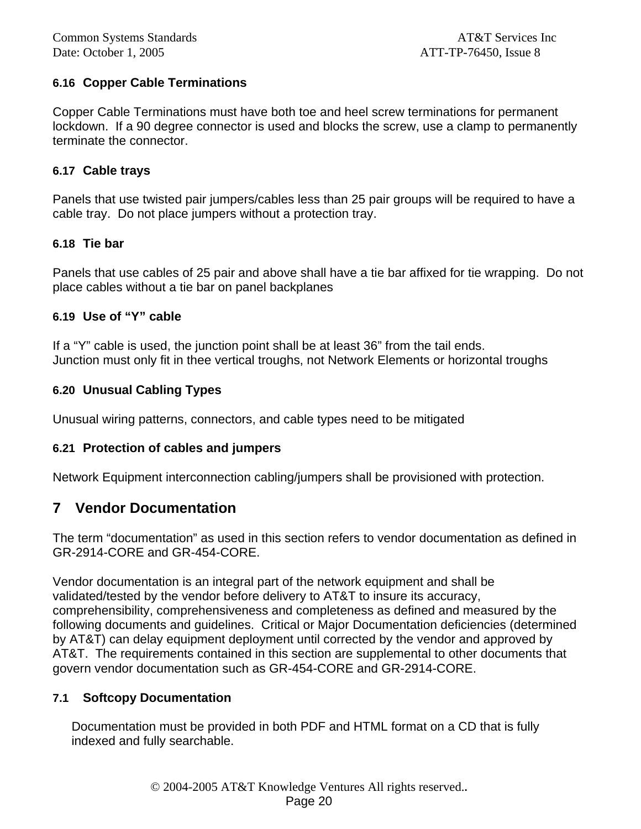#### **6.16 Copper Cable Terminations**

Copper Cable Terminations must have both toe and heel screw terminations for permanent lockdown. If a 90 degree connector is used and blocks the screw, use a clamp to permanently terminate the connector.

#### **6.17 Cable trays**

Panels that use twisted pair jumpers/cables less than 25 pair groups will be required to have a cable tray. Do not place jumpers without a protection tray.

#### **6.18 Tie bar**

Panels that use cables of 25 pair and above shall have a tie bar affixed for tie wrapping. Do not place cables without a tie bar on panel backplanes

#### **6.19 Use of "Y" cable**

If a "Y" cable is used, the junction point shall be at least 36" from the tail ends. Junction must only fit in thee vertical troughs, not Network Elements or horizontal troughs

#### **6.20 Unusual Cabling Types**

Unusual wiring patterns, connectors, and cable types need to be mitigated

#### **6.21 Protection of cables and jumpers**

Network Equipment interconnection cabling/jumpers shall be provisioned with protection.

### **7 Vendor Documentation**

The term "documentation" as used in this section refers to vendor documentation as defined in GR-2914-CORE and GR-454-CORE.

Vendor documentation is an integral part of the network equipment and shall be validated/tested by the vendor before delivery to AT&T to insure its accuracy, comprehensibility, comprehensiveness and completeness as defined and measured by the following documents and guidelines. Critical or Major Documentation deficiencies (determined by AT&T) can delay equipment deployment until corrected by the vendor and approved by AT&T. The requirements contained in this section are supplemental to other documents that govern vendor documentation such as GR-454-CORE and GR-2914-CORE.

#### **7.1 Softcopy Documentation**

Documentation must be provided in both PDF and HTML format on a CD that is fully indexed and fully searchable.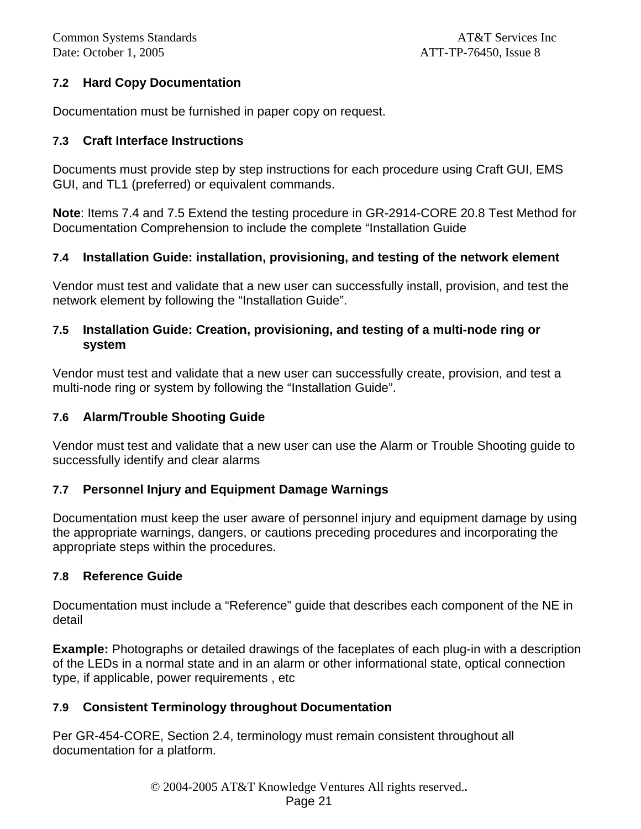### **7.2 Hard Copy Documentation**

Documentation must be furnished in paper copy on request.

#### **7.3 Craft Interface Instructions**

Documents must provide step by step instructions for each procedure using Craft GUI, EMS GUI, and TL1 (preferred) or equivalent commands.

**Note**: Items 7.4 and 7.5 Extend the testing procedure in GR-2914-CORE 20.8 Test Method for Documentation Comprehension to include the complete "Installation Guide

### **7.4 Installation Guide: installation, provisioning, and testing of the network element**

Vendor must test and validate that a new user can successfully install, provision, and test the network element by following the "Installation Guide".

#### **7.5 Installation Guide: Creation, provisioning, and testing of a multi-node ring or system**

Vendor must test and validate that a new user can successfully create, provision, and test a multi-node ring or system by following the "Installation Guide".

### **7.6 Alarm/Trouble Shooting Guide**

Vendor must test and validate that a new user can use the Alarm or Trouble Shooting guide to successfully identify and clear alarms

### **7.7 Personnel Injury and Equipment Damage Warnings**

Documentation must keep the user aware of personnel injury and equipment damage by using the appropriate warnings, dangers, or cautions preceding procedures and incorporating the appropriate steps within the procedures.

#### **7.8 Reference Guide**

Documentation must include a "Reference" guide that describes each component of the NE in detail

**Example:** Photographs or detailed drawings of the faceplates of each plug-in with a description of the LEDs in a normal state and in an alarm or other informational state, optical connection type, if applicable, power requirements , etc

### **7.9 Consistent Terminology throughout Documentation**

Per GR-454-CORE, Section 2.4, terminology must remain consistent throughout all documentation for a platform.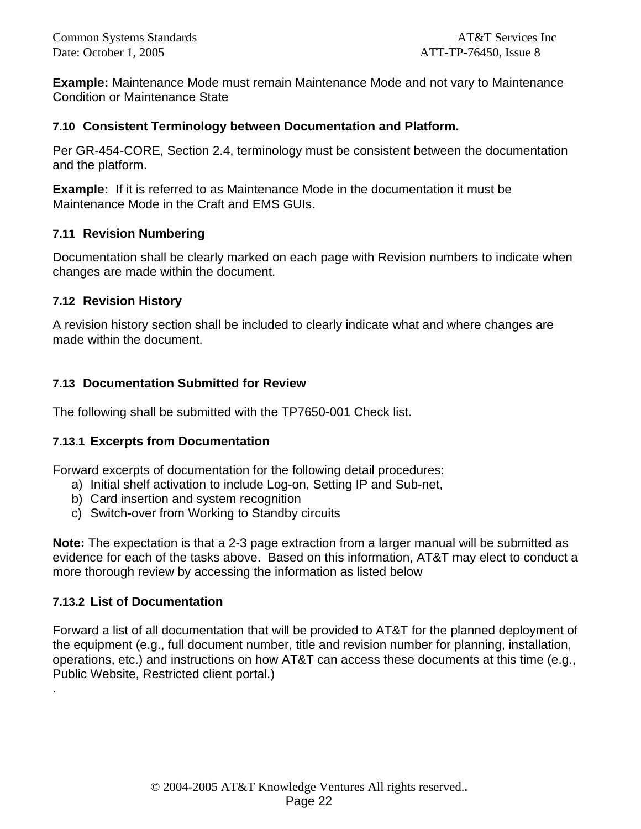**Example:** Maintenance Mode must remain Maintenance Mode and not vary to Maintenance Condition or Maintenance State

#### **7.10 Consistent Terminology between Documentation and Platform.**

Per GR-454-CORE, Section 2.4, terminology must be consistent between the documentation and the platform.

**Example:** If it is referred to as Maintenance Mode in the documentation it must be Maintenance Mode in the Craft and EMS GUIs.

### **7.11 Revision Numbering**

Documentation shall be clearly marked on each page with Revision numbers to indicate when changes are made within the document.

### **7.12 Revision History**

A revision history section shall be included to clearly indicate what and where changes are made within the document.

### **7.13 Documentation Submitted for Review**

The following shall be submitted with the TP7650-001 Check list.

### **7.13.1 Excerpts from Documentation**

Forward excerpts of documentation for the following detail procedures:

- a) Initial shelf activation to include Log-on, Setting IP and Sub-net,
- b) Card insertion and system recognition
- c) Switch-over from Working to Standby circuits

**Note:** The expectation is that a 2-3 page extraction from a larger manual will be submitted as evidence for each of the tasks above. Based on this information, AT&T may elect to conduct a more thorough review by accessing the information as listed below

### **7.13.2 List of Documentation**

.

Forward a list of all documentation that will be provided to AT&T for the planned deployment of the equipment (e.g., full document number, title and revision number for planning, installation, operations, etc.) and instructions on how AT&T can access these documents at this time (e.g., Public Website, Restricted client portal.)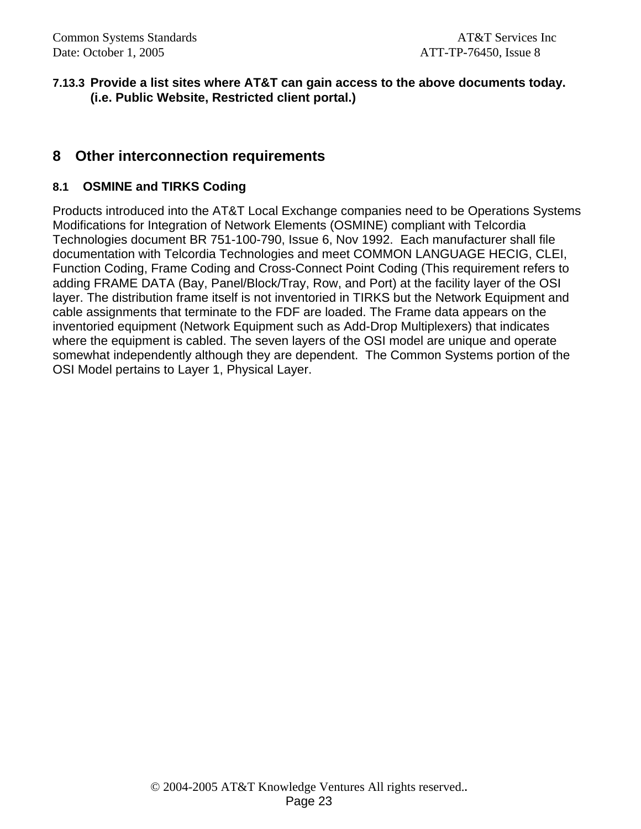#### **7.13.3 Provide a list sites where AT&T can gain access to the above documents today. (i.e. Public Website, Restricted client portal.)**

### **8 Other interconnection requirements**

#### **8.1 OSMINE and TIRKS Coding**

Products introduced into the AT&T Local Exchange companies need to be Operations Systems Modifications for Integration of Network Elements (OSMINE) compliant with Telcordia Technologies document BR 751-100-790, Issue 6, Nov 1992. Each manufacturer shall file documentation with Telcordia Technologies and meet COMMON LANGUAGE HECIG, CLEI, Function Coding, Frame Coding and Cross-Connect Point Coding (This requirement refers to adding FRAME DATA (Bay, Panel/Block/Tray, Row, and Port) at the facility layer of the OSI layer. The distribution frame itself is not inventoried in TIRKS but the Network Equipment and cable assignments that terminate to the FDF are loaded. The Frame data appears on the inventoried equipment (Network Equipment such as Add-Drop Multiplexers) that indicates where the equipment is cabled. The seven layers of the OSI model are unique and operate somewhat independently although they are dependent. The Common Systems portion of the OSI Model pertains to Layer 1, Physical Layer.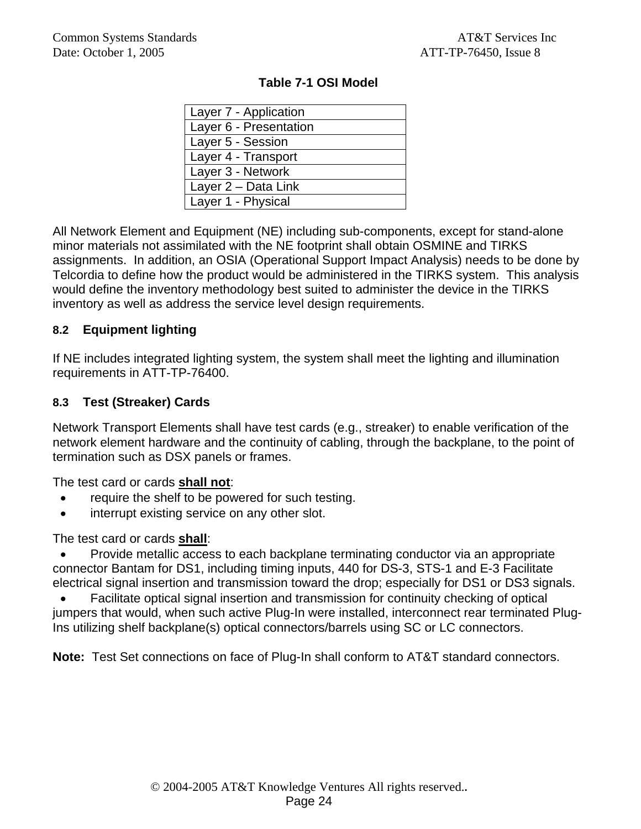| Layer 7 - Application  |
|------------------------|
| Layer 6 - Presentation |
| Layer 5 - Session      |
| Layer 4 - Transport    |
| Layer 3 - Network      |
| Layer 2 - Data Link    |
| Layer 1 - Physical     |

#### **Table 7-1 OSI Model**

All Network Element and Equipment (NE) including sub-components, except for stand-alone minor materials not assimilated with the NE footprint shall obtain OSMINE and TIRKS assignments. In addition, an OSIA (Operational Support Impact Analysis) needs to be done by Telcordia to define how the product would be administered in the TIRKS system. This analysis would define the inventory methodology best suited to administer the device in the TIRKS inventory as well as address the service level design requirements.

#### **8.2 Equipment lighting**

If NE includes integrated lighting system, the system shall meet the lighting and illumination requirements in ATT-TP-76400.

### **8.3 Test (Streaker) Cards**

Network Transport Elements shall have test cards (e.g., streaker) to enable verification of the network element hardware and the continuity of cabling, through the backplane, to the point of termination such as DSX panels or frames.

The test card or cards **shall not**:

- require the shelf to be powered for such testing.
- interrupt existing service on any other slot.

The test card or cards **shall**:

• Provide metallic access to each backplane terminating conductor via an appropriate connector Bantam for DS1, including timing inputs, 440 for DS-3, STS-1 and E-3 Facilitate electrical signal insertion and transmission toward the drop; especially for DS1 or DS3 signals.

• Facilitate optical signal insertion and transmission for continuity checking of optical jumpers that would, when such active Plug-In were installed, interconnect rear terminated Plug-Ins utilizing shelf backplane(s) optical connectors/barrels using SC or LC connectors.

**Note:** Test Set connections on face of Plug-In shall conform to AT&T standard connectors.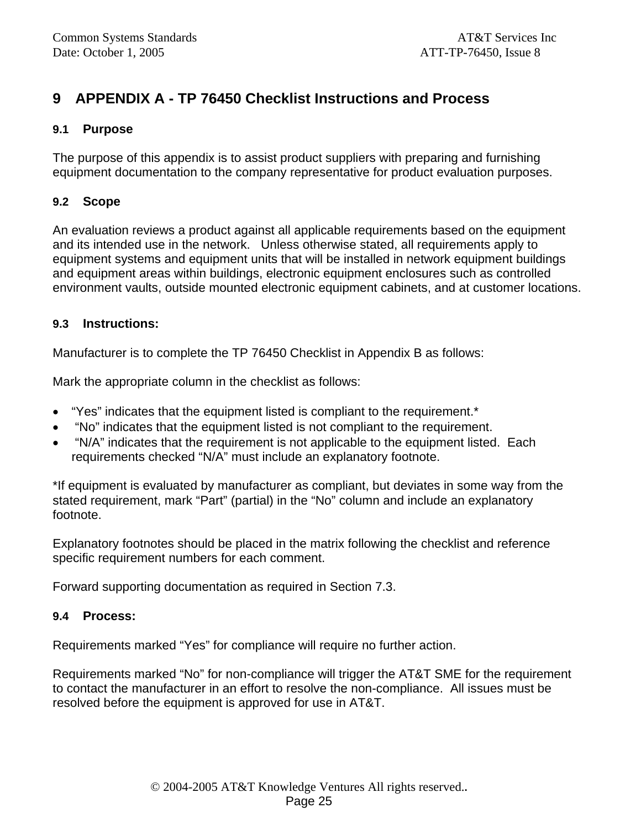# **9 APPENDIX A - TP 76450 Checklist Instructions and Process**

#### **9.1 Purpose**

The purpose of this appendix is to assist product suppliers with preparing and furnishing equipment documentation to the company representative for product evaluation purposes.

#### **9.2 Scope**

An evaluation reviews a product against all applicable requirements based on the equipment and its intended use in the network. Unless otherwise stated, all requirements apply to equipment systems and equipment units that will be installed in network equipment buildings and equipment areas within buildings, electronic equipment enclosures such as controlled environment vaults, outside mounted electronic equipment cabinets, and at customer locations.

#### **9.3 Instructions:**

Manufacturer is to complete the TP 76450 Checklist in Appendix B as follows:

Mark the appropriate column in the checklist as follows:

- "Yes" indicates that the equipment listed is compliant to the requirement.\*
- "No" indicates that the equipment listed is not compliant to the requirement.
- "N/A" indicates that the requirement is not applicable to the equipment listed. Each requirements checked "N/A" must include an explanatory footnote.

\*If equipment is evaluated by manufacturer as compliant, but deviates in some way from the stated requirement, mark "Part" (partial) in the "No" column and include an explanatory footnote.

Explanatory footnotes should be placed in the matrix following the checklist and reference specific requirement numbers for each comment.

Forward supporting documentation as required in Section 7.3.

#### **9.4 Process:**

Requirements marked "Yes" for compliance will require no further action.

Requirements marked "No" for non-compliance will trigger the AT&T SME for the requirement to contact the manufacturer in an effort to resolve the non-compliance. All issues must be resolved before the equipment is approved for use in AT&T.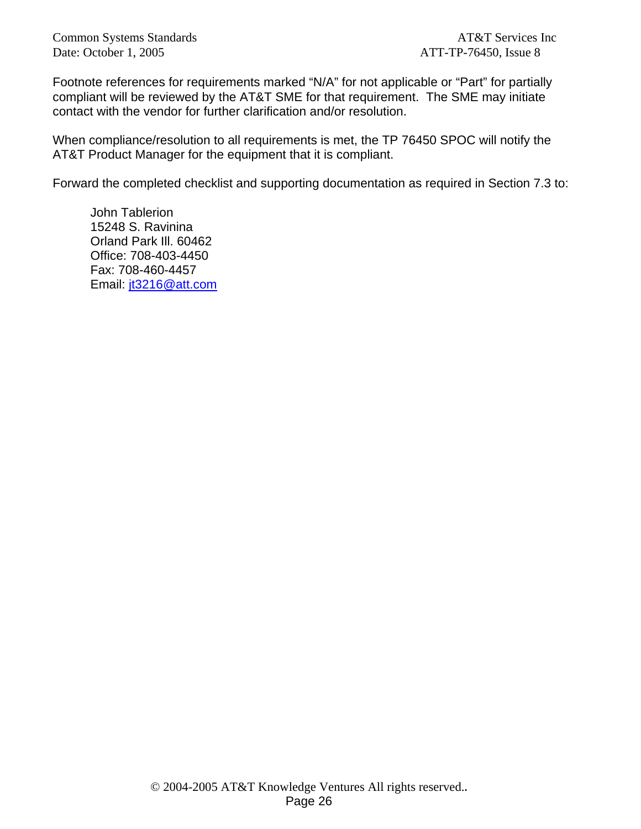Common Systems Standards **AT&T** Services Inc Date: October 1, 2005 ATT-TP-76450, Issue 8

Footnote references for requirements marked "N/A" for not applicable or "Part" for partially compliant will be reviewed by the AT&T SME for that requirement. The SME may initiate contact with the vendor for further clarification and/or resolution.

When compliance/resolution to all requirements is met, the TP 76450 SPOC will notify the AT&T Product Manager for the equipment that it is compliant.

Forward the completed checklist and supporting documentation as required in Section 7.3 to:

John Tablerion 15248 S. Ravinina Orland Park Ill. 60462 Office: 708-403-4450 Fax: 708-460-4457 Email: jt3216@att.com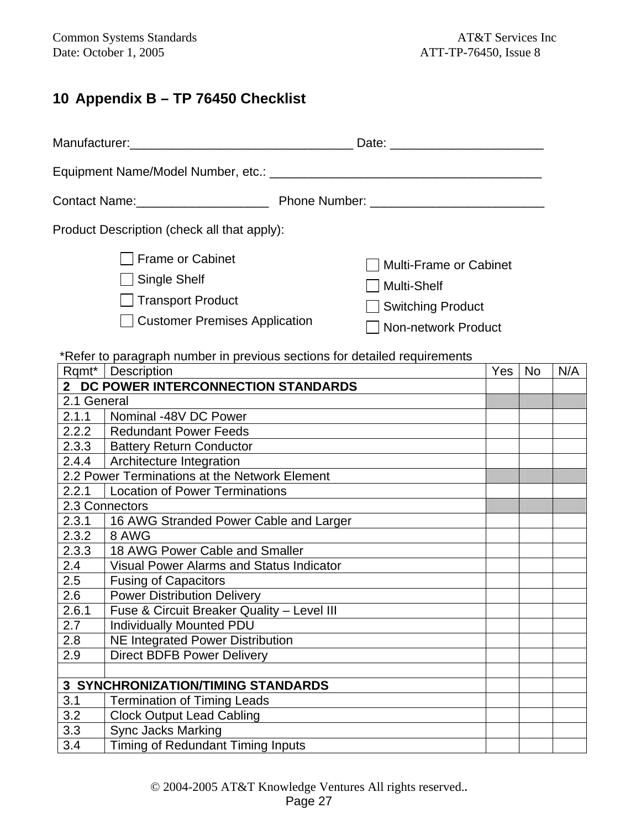# **10 Appendix B – TP 76450 Checklist**

| Contact Name: ______________________                                                         |                                                                                     |  |  |  |  |
|----------------------------------------------------------------------------------------------|-------------------------------------------------------------------------------------|--|--|--|--|
| Product Description (check all that apply):                                                  |                                                                                     |  |  |  |  |
| Frame or Cabinet<br>  Single Shelf<br>  Transport Product<br>□ Customer Premises Application | Multi-Frame or Cabinet<br>  Multi-Shelf<br>Switching Product<br>Non-network Product |  |  |  |  |

### \*Refer to paragraph number in previous sections for detailed requirements

|                | Rqmt*   Description                             | <b>Yes</b> | <b>No</b> | N/A |
|----------------|-------------------------------------------------|------------|-----------|-----|
| 2 <sup>7</sup> | DC POWER INTERCONNECTION STANDARDS              |            |           |     |
| 2.1 General    |                                                 |            |           |     |
| 2.1.1          | Nominal -48V DC Power                           |            |           |     |
| 2.2.2          | <b>Redundant Power Feeds</b>                    |            |           |     |
| 2.3.3          | <b>Battery Return Conductor</b>                 |            |           |     |
| 2.4.4          | Architecture Integration                        |            |           |     |
|                | 2.2 Power Terminations at the Network Element   |            |           |     |
| 2.2.1          | <b>Location of Power Terminations</b>           |            |           |     |
|                | 2.3 Connectors                                  |            |           |     |
| 2.3.1          | 16 AWG Stranded Power Cable and Larger          |            |           |     |
| 2.3.2          | 8 AWG                                           |            |           |     |
| 2.3.3          | 18 AWG Power Cable and Smaller                  |            |           |     |
| 2.4            | <b>Visual Power Alarms and Status Indicator</b> |            |           |     |
| 2.5            | <b>Fusing of Capacitors</b>                     |            |           |     |
| 2.6            | <b>Power Distribution Delivery</b>              |            |           |     |
| 2.6.1          | Fuse & Circuit Breaker Quality - Level III      |            |           |     |
| 2.7            | <b>Individually Mounted PDU</b>                 |            |           |     |
| 2.8            | <b>NE Integrated Power Distribution</b>         |            |           |     |
| 2.9            | <b>Direct BDFB Power Delivery</b>               |            |           |     |
|                |                                                 |            |           |     |
|                | <b>3 SYNCHRONIZATION/TIMING STANDARDS</b>       |            |           |     |
| 3.1            | <b>Termination of Timing Leads</b>              |            |           |     |
| 3.2            | <b>Clock Output Lead Cabling</b>                |            |           |     |
| 3.3            | <b>Sync Jacks Marking</b>                       |            |           |     |
| 3.4            | Timing of Redundant Timing Inputs               |            |           |     |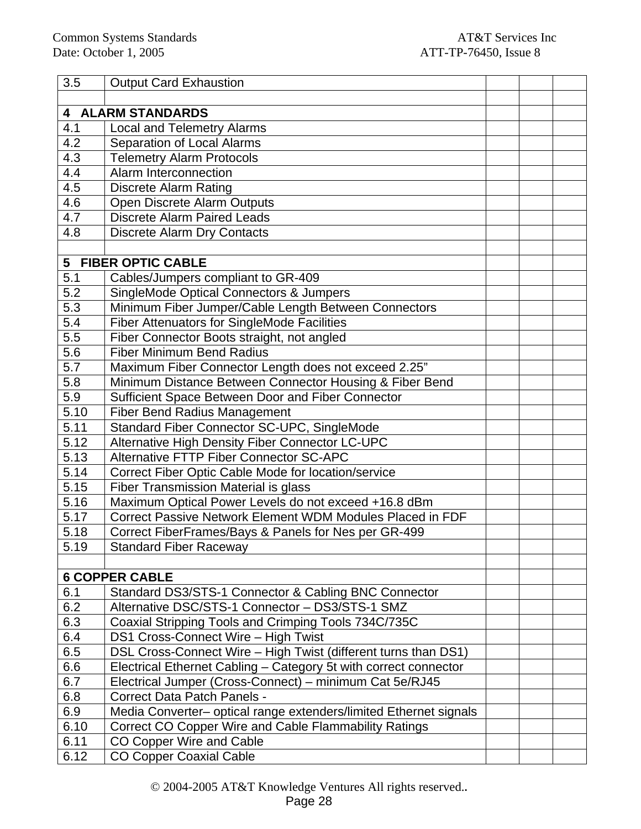| 3.5              | <b>Output Card Exhaustion</b>                                     |  |  |
|------------------|-------------------------------------------------------------------|--|--|
|                  |                                                                   |  |  |
| 4                | <b>ALARM STANDARDS</b>                                            |  |  |
| 4.1              | <b>Local and Telemetry Alarms</b>                                 |  |  |
| 4.2              | Separation of Local Alarms                                        |  |  |
| $4.\overline{3}$ | <b>Telemetry Alarm Protocols</b>                                  |  |  |
| 4.4              | Alarm Interconnection                                             |  |  |
| 4.5              | <b>Discrete Alarm Rating</b>                                      |  |  |
| 4.6              | Open Discrete Alarm Outputs                                       |  |  |
| 4.7              | <b>Discrete Alarm Paired Leads</b>                                |  |  |
| 4.8              | <b>Discrete Alarm Dry Contacts</b>                                |  |  |
|                  |                                                                   |  |  |
| 5                | <b>FIBER OPTIC CABLE</b>                                          |  |  |
| 5.1              | Cables/Jumpers compliant to GR-409                                |  |  |
| 5.2              | <b>SingleMode Optical Connectors &amp; Jumpers</b>                |  |  |
| 5.3              | Minimum Fiber Jumper/Cable Length Between Connectors              |  |  |
| 5.4              | Fiber Attenuators for SingleMode Facilities                       |  |  |
| 5.5              | Fiber Connector Boots straight, not angled                        |  |  |
| 5.6              | <b>Fiber Minimum Bend Radius</b>                                  |  |  |
| 5.7              | Maximum Fiber Connector Length does not exceed 2.25"              |  |  |
| 5.8              | Minimum Distance Between Connector Housing & Fiber Bend           |  |  |
| 5.9              | Sufficient Space Between Door and Fiber Connector                 |  |  |
| 5.10             | <b>Fiber Bend Radius Management</b>                               |  |  |
| 5.11             | Standard Fiber Connector SC-UPC, SingleMode                       |  |  |
| 5.12             | Alternative High Density Fiber Connector LC-UPC                   |  |  |
| 5.13             | <b>Alternative FTTP Fiber Connector SC-APC</b>                    |  |  |
| 5.14             | Correct Fiber Optic Cable Mode for location/service               |  |  |
| 5.15             | Fiber Transmission Material is glass                              |  |  |
| 5.16             | Maximum Optical Power Levels do not exceed +16.8 dBm              |  |  |
| 5.17             | Correct Passive Network Element WDM Modules Placed in FDF         |  |  |
| 5.18             | Correct FiberFrames/Bays & Panels for Nes per GR-499              |  |  |
| 5.19             | <b>Standard Fiber Raceway</b>                                     |  |  |
|                  |                                                                   |  |  |
|                  | <b>6 COPPER CABLE</b>                                             |  |  |
| 6.1              | Standard DS3/STS-1 Connector & Cabling BNC Connector              |  |  |
| 6.2              | Alternative DSC/STS-1 Connector - DS3/STS-1 SMZ                   |  |  |
| 6.3              | Coaxial Stripping Tools and Crimping Tools 734C/735C              |  |  |
| 6.4              | DS1 Cross-Connect Wire - High Twist                               |  |  |
| 6.5              | DSL Cross-Connect Wire - High Twist (different turns than DS1)    |  |  |
| 6.6              | Electrical Ethernet Cabling - Category 5t with correct connector  |  |  |
| 6.7              | Electrical Jumper (Cross-Connect) - minimum Cat 5e/RJ45           |  |  |
| 6.8              | <b>Correct Data Patch Panels -</b>                                |  |  |
| 6.9              | Media Converter- optical range extenders/limited Ethernet signals |  |  |
| 6.10             | <b>Correct CO Copper Wire and Cable Flammability Ratings</b>      |  |  |
| 6.11             | CO Copper Wire and Cable                                          |  |  |
| 6.12             | <b>CO Copper Coaxial Cable</b>                                    |  |  |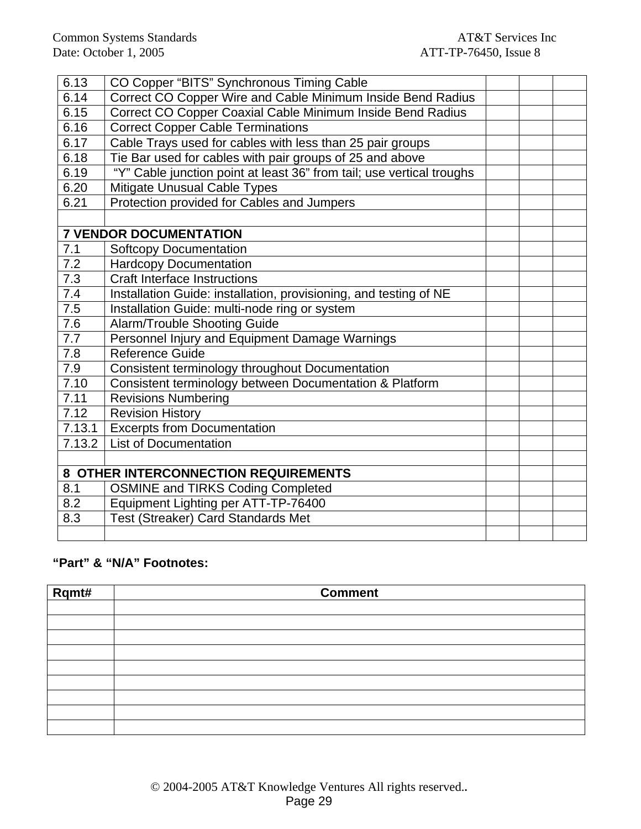| 6.13             | CO Copper "BITS" Synchronous Timing Cable                             |  |  |
|------------------|-----------------------------------------------------------------------|--|--|
| 6.14             | Correct CO Copper Wire and Cable Minimum Inside Bend Radius           |  |  |
| 6.15             | Correct CO Copper Coaxial Cable Minimum Inside Bend Radius            |  |  |
| 6.16             | <b>Correct Copper Cable Terminations</b>                              |  |  |
| 6.17             | Cable Trays used for cables with less than 25 pair groups             |  |  |
| 6.18             | Tie Bar used for cables with pair groups of 25 and above              |  |  |
| 6.19             | "Y" Cable junction point at least 36" from tail; use vertical troughs |  |  |
| 6.20             | Mitigate Unusual Cable Types                                          |  |  |
| 6.21             | Protection provided for Cables and Jumpers                            |  |  |
|                  |                                                                       |  |  |
|                  | <b>7 VENDOR DOCUMENTATION</b>                                         |  |  |
| 7.1              | <b>Softcopy Documentation</b>                                         |  |  |
| 7.2              | <b>Hardcopy Documentation</b>                                         |  |  |
| $7.\overline{3}$ | <b>Craft Interface Instructions</b>                                   |  |  |
| 7.4              | Installation Guide: installation, provisioning, and testing of NE     |  |  |
| 7.5              | Installation Guide: multi-node ring or system                         |  |  |
| 7.6              | <b>Alarm/Trouble Shooting Guide</b>                                   |  |  |
| $\overline{7.7}$ | Personnel Injury and Equipment Damage Warnings                        |  |  |
| 7.8              | <b>Reference Guide</b>                                                |  |  |
| 7.9              | Consistent terminology throughout Documentation                       |  |  |
| 7.10             | Consistent terminology between Documentation & Platform               |  |  |
| 7.11             | <b>Revisions Numbering</b>                                            |  |  |
| 7.12             | <b>Revision History</b>                                               |  |  |
| 7.13.1           | <b>Excerpts from Documentation</b>                                    |  |  |
| 7.13.2           | <b>List of Documentation</b>                                          |  |  |
|                  |                                                                       |  |  |
|                  | 8 OTHER INTERCONNECTION REQUIREMENTS                                  |  |  |
| 8.1              | <b>OSMINE and TIRKS Coding Completed</b>                              |  |  |
| 8.2              | Equipment Lighting per ATT-TP-76400                                   |  |  |
| 8.3              | Test (Streaker) Card Standards Met                                    |  |  |
|                  |                                                                       |  |  |

### **"Part" & "N/A" Footnotes:**

| Rqmt# | <b>Comment</b> |
|-------|----------------|
|       |                |
|       |                |
|       |                |
|       |                |
|       |                |
|       |                |
|       |                |
|       |                |
|       |                |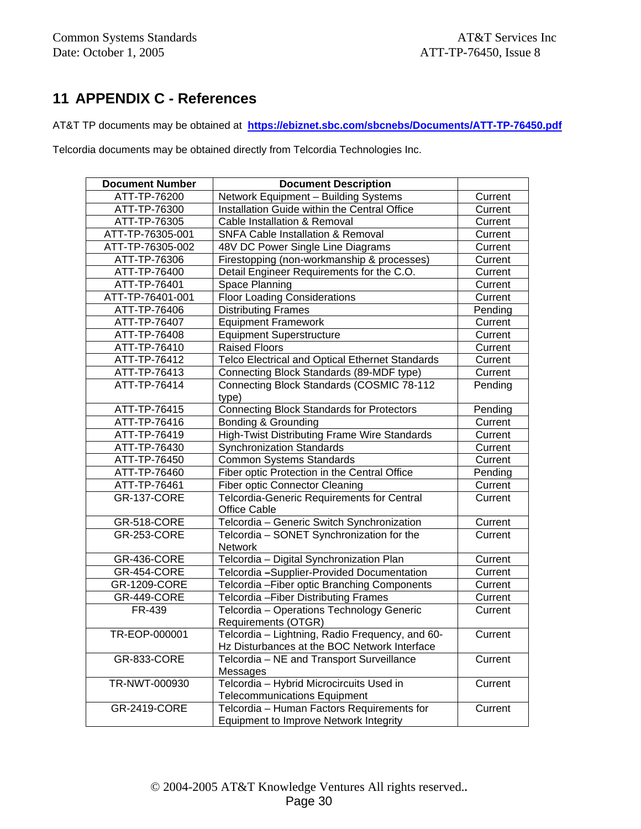# **11 APPENDIX C - References**

AT&T TP documents may be obtained at **https://ebiznet.sbc.com/sbcnebs/Documents/ATT-TP-76450.pdf**

Telcordia documents may be obtained directly from Telcordia Technologies Inc.

| <b>Document Number</b> | <b>Document Description</b>                      |         |
|------------------------|--------------------------------------------------|---------|
| ATT-TP-76200           | Network Equipment - Building Systems             | Current |
| ATT-TP-76300           | Installation Guide within the Central Office     | Current |
| ATT-TP-76305           | Cable Installation & Removal                     | Current |
| ATT-TP-76305-001       | SNFA Cable Installation & Removal                | Current |
| ATT-TP-76305-002       | 48V DC Power Single Line Diagrams                | Current |
| ATT-TP-76306           | Firestopping (non-workmanship & processes)       | Current |
| ATT-TP-76400           | Detail Engineer Requirements for the C.O.        | Current |
| ATT-TP-76401           | Space Planning                                   | Current |
| ATT-TP-76401-001       | <b>Floor Loading Considerations</b>              | Current |
| ATT-TP-76406           | <b>Distributing Frames</b>                       | Pending |
| ATT-TP-76407           | <b>Equipment Framework</b>                       | Current |
| ATT-TP-76408           | <b>Equipment Superstructure</b>                  | Current |
| ATT-TP-76410           | <b>Raised Floors</b>                             | Current |
| ATT-TP-76412           | Telco Electrical and Optical Ethernet Standards  | Current |
| ATT-TP-76413           | Connecting Block Standards (89-MDF type)         | Current |
| ATT-TP-76414           | Connecting Block Standards (COSMIC 78-112        | Pending |
|                        | type)                                            |         |
| ATT-TP-76415           | <b>Connecting Block Standards for Protectors</b> | Pending |
| ATT-TP-76416           | Bonding & Grounding                              | Current |
| ATT-TP-76419           | High-Twist Distributing Frame Wire Standards     | Current |
| ATT-TP-76430           | <b>Synchronization Standards</b>                 | Current |
| ATT-TP-76450           | <b>Common Systems Standards</b>                  | Current |
| ATT-TP-76460           | Fiber optic Protection in the Central Office     | Pending |
| ATT-TP-76461           | <b>Fiber optic Connector Cleaning</b>            | Current |
| <b>GR-137-CORE</b>     | Telcordia-Generic Requirements for Central       | Current |
|                        | <b>Office Cable</b>                              |         |
| <b>GR-518-CORE</b>     | Telcordia - Generic Switch Synchronization       | Current |
| <b>GR-253-CORE</b>     | Telcordia - SONET Synchronization for the        | Current |
|                        | Network                                          |         |
| GR-436-CORE            | Telcordia - Digital Synchronization Plan         | Current |
| <b>GR-454-CORE</b>     | Telcordia - Supplier-Provided Documentation      | Current |
| <b>GR-1209-CORE</b>    | Telcordia - Fiber optic Branching Components     | Current |
| <b>GR-449-CORE</b>     | Telcordia - Fiber Distributing Frames            | Current |
| FR-439                 | Telcordia - Operations Technology Generic        | Current |
|                        | Requirements (OTGR)                              |         |
| TR-EOP-000001          | Telcordia - Lightning, Radio Frequency, and 60-  | Current |
|                        | Hz Disturbances at the BOC Network Interface     |         |
| <b>GR-833-CORE</b>     | Telcordia - NE and Transport Surveillance        | Current |
|                        | Messages                                         |         |
| TR-NWT-000930          | Telcordia - Hybrid Microcircuits Used in         | Current |
|                        | <b>Telecommunications Equipment</b>              |         |
| <b>GR-2419-CORE</b>    | Telcordia - Human Factors Requirements for       | Current |
|                        | Equipment to Improve Network Integrity           |         |